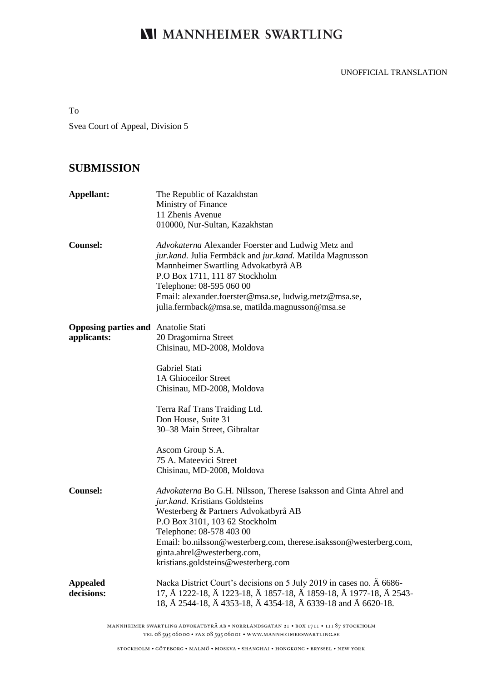# **NI MANNHEIMER SWARTLING**

### UNOFFICIAL TRANSLATION

To

Svea Court of Appeal, Division 5

# **SUBMISSION**

| Appellant:                                                | The Republic of Kazakhstan<br>Ministry of Finance<br>11 Zhenis Avenue<br>010000, Nur-Sultan, Kazakhstan                                                                                                                                                                                                                                               |
|-----------------------------------------------------------|-------------------------------------------------------------------------------------------------------------------------------------------------------------------------------------------------------------------------------------------------------------------------------------------------------------------------------------------------------|
| Counsel:                                                  | Advokaterna Alexander Foerster and Ludwig Metz and<br>jur.kand. Julia Fermbäck and jur.kand. Matilda Magnusson<br>Mannheimer Swartling Advokatbyrå AB<br>P.O Box 1711, 111 87 Stockholm<br>Telephone: 08-595 060 00<br>Email: alexander.foerster@msa.se, ludwig.metz@msa.se,<br>julia.fermback@msa.se, matilda.magnusson@msa.se                       |
| <b>Opposing parties and Anatolie Stati</b><br>applicants: | 20 Dragomirna Street<br>Chisinau, MD-2008, Moldova                                                                                                                                                                                                                                                                                                    |
|                                                           | Gabriel Stati<br>1A Ghioceilor Street<br>Chisinau, MD-2008, Moldova                                                                                                                                                                                                                                                                                   |
|                                                           | Terra Raf Trans Traiding Ltd.<br>Don House, Suite 31<br>30–38 Main Street, Gibraltar                                                                                                                                                                                                                                                                  |
|                                                           | Ascom Group S.A.<br>75 A. Mateevici Street<br>Chisinau, MD-2008, Moldova                                                                                                                                                                                                                                                                              |
| Counsel:                                                  | Advokaterna Bo G.H. Nilsson, Therese Isaksson and Ginta Ahrel and<br>jur.kand. Kristians Goldsteins<br>Westerberg & Partners Advokatbyrå AB<br>P.O Box 3101, 103 62 Stockholm<br>Telephone: 08-578 403 00<br>Email: bo.nilsson@westerberg.com, therese.isaksson@westerberg.com,<br>ginta.ahrel@westerberg.com,<br>kristians.goldsteins@westerberg.com |
| <b>Appealed</b><br>decisions:                             | Nacka District Court's decisions on 5 July 2019 in cases no. A 6686-<br>17, Ä 1222-18, Ä 1223-18, Ä 1857-18, Ä 1859-18, Ä 1977-18, Ä 2543-<br>18, Ä 2544-18, Ä 4353-18, Ä 4354-18, Ä 6339-18 and Ä 6620-18.                                                                                                                                           |

MANNHEIMER SWARTLING ADVOKATBYRÅ AB • NORRLANDSGATAN 2I • BOX 1711 • III 87 STOCKHOLM TEL 08 595 06000 · FAX 08 595 06001 · WWW.MANNHEIMERSWARTLING.SE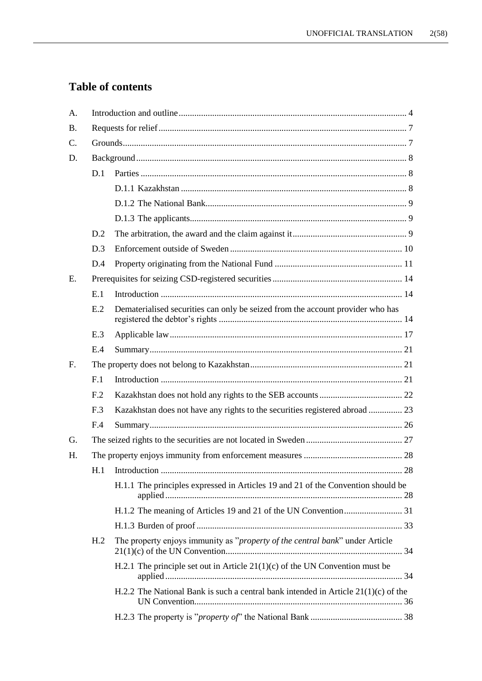# **Table of contents**

| A.              |                 |                                                                                      |  |  |
|-----------------|-----------------|--------------------------------------------------------------------------------------|--|--|
| <b>B.</b>       |                 |                                                                                      |  |  |
| $\mathcal{C}$ . |                 |                                                                                      |  |  |
| D.              |                 |                                                                                      |  |  |
|                 | D.1             |                                                                                      |  |  |
|                 |                 |                                                                                      |  |  |
|                 |                 |                                                                                      |  |  |
|                 |                 |                                                                                      |  |  |
|                 | D.2             |                                                                                      |  |  |
|                 | D.3             |                                                                                      |  |  |
|                 | D.4             |                                                                                      |  |  |
| E.              |                 |                                                                                      |  |  |
|                 | E.1             |                                                                                      |  |  |
|                 | E.2             | Dematerialised securities can only be seized from the account provider who has       |  |  |
|                 | E.3             |                                                                                      |  |  |
|                 | E.4             |                                                                                      |  |  |
| $F_{\cdot}$     |                 |                                                                                      |  |  |
|                 | F <sub>1</sub>  |                                                                                      |  |  |
|                 | F <sub>12</sub> |                                                                                      |  |  |
|                 | F.3             | Kazakhstan does not have any rights to the securities registered abroad  23          |  |  |
|                 | F.4             |                                                                                      |  |  |
| G.              |                 |                                                                                      |  |  |
| Η.              |                 |                                                                                      |  |  |
|                 |                 |                                                                                      |  |  |
|                 |                 | H.1.1 The principles expressed in Articles 19 and 21 of the Convention should be     |  |  |
|                 |                 |                                                                                      |  |  |
|                 |                 |                                                                                      |  |  |
|                 | H <sub>.2</sub> | The property enjoys immunity as "property of the central bank" under Article         |  |  |
|                 |                 | H.2.1 The principle set out in Article $21(1)(c)$ of the UN Convention must be       |  |  |
|                 |                 | H.2.2 The National Bank is such a central bank intended in Article $21(1)(c)$ of the |  |  |
|                 |                 |                                                                                      |  |  |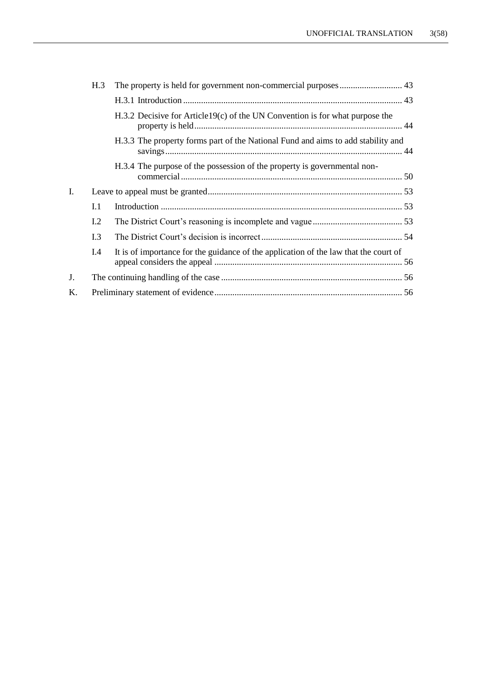|    | H.3 |                                                                                      |
|----|-----|--------------------------------------------------------------------------------------|
|    |     |                                                                                      |
|    |     | $H.3.2$ Decisive for Article 19(c) of the UN Convention is for what purpose the      |
|    |     | H.3.3 The property forms part of the National Fund and aims to add stability and     |
|    |     | H.3.4 The purpose of the possession of the property is governmental non-             |
| I. |     |                                                                                      |
|    | I.1 |                                                                                      |
|    | I.2 |                                                                                      |
|    | I.3 |                                                                                      |
|    | I.4 | It is of importance for the guidance of the application of the law that the court of |
| J. |     |                                                                                      |
| K. |     |                                                                                      |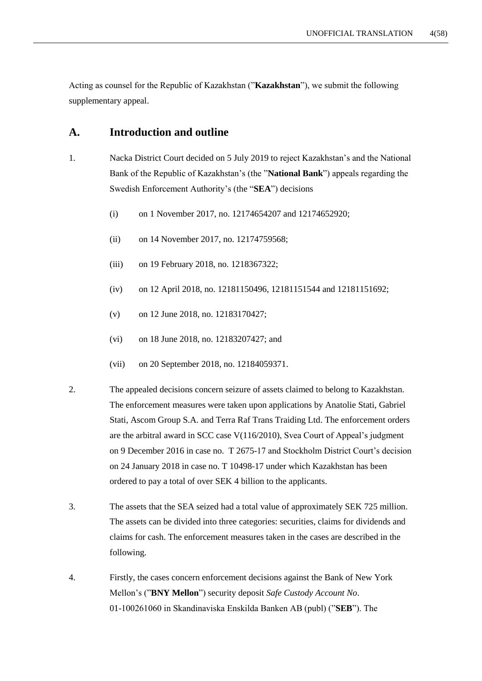Acting as counsel for the Republic of Kazakhstan ("**Kazakhstan**"), we submit the following supplementary appeal.

## **A. Introduction and outline**

- 1. Nacka District Court decided on 5 July 2019 to reject Kazakhstan's and the National Bank of the Republic of Kazakhstan's (the "**National Bank**") appeals regarding the Swedish Enforcement Authority's (the "**SEA**") decisions
	- (i) on 1 November 2017, no. 12174654207 and 12174652920;
	- (ii) on 14 November 2017, no. 12174759568;
	- (iii) on 19 February 2018, no. 1218367322;
	- (iv) on 12 April 2018, no. 12181150496, 12181151544 and 12181151692;
	- (v) on 12 June 2018, no. 12183170427;
	- (vi) on 18 June 2018, no. 12183207427; and
	- (vii) on 20 September 2018, no. 12184059371.
- 2. The appealed decisions concern seizure of assets claimed to belong to Kazakhstan. The enforcement measures were taken upon applications by Anatolie Stati, Gabriel Stati, Ascom Group S.A. and Terra Raf Trans Traiding Ltd. The enforcement orders are the arbitral award in SCC case V(116/2010), Svea Court of Appeal's judgment on 9 December 2016 in case no. T 2675-17 and Stockholm District Court's decision on 24 January 2018 in case no. T 10498-17 under which Kazakhstan has been ordered to pay a total of over SEK 4 billion to the applicants.
- 3. The assets that the SEA seized had a total value of approximately SEK 725 million. The assets can be divided into three categories: securities, claims for dividends and claims for cash. The enforcement measures taken in the cases are described in the following.
- 4. Firstly, the cases concern enforcement decisions against the Bank of New York Mellon's ("**BNY Mellon**") security deposit *Safe Custody Account No*. 01-100261060 in Skandinaviska Enskilda Banken AB (publ) ("**SEB**"). The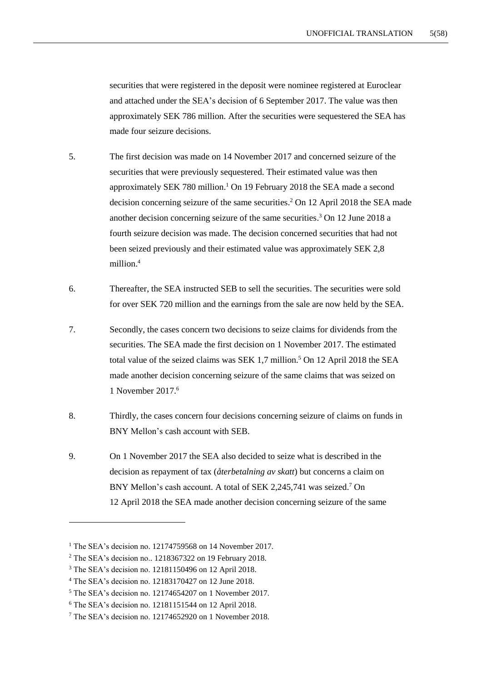securities that were registered in the deposit were nominee registered at Euroclear and attached under the SEA's decision of 6 September 2017. The value was then approximately SEK 786 million. After the securities were sequestered the SEA has made four seizure decisions.

- 5. The first decision was made on 14 November 2017 and concerned seizure of the securities that were previously sequestered. Their estimated value was then approximately SEK 780 million. <sup>1</sup> On 19 February 2018 the SEA made a second decision concerning seizure of the same securities. <sup>2</sup> On 12 April 2018 the SEA made another decision concerning seizure of the same securities. <sup>3</sup> On 12 June 2018 a fourth seizure decision was made. The decision concerned securities that had not been seized previously and their estimated value was approximately SEK 2,8 million. 4
- 6. Thereafter, the SEA instructed SEB to sell the securities. The securities were sold for over SEK 720 million and the earnings from the sale are now held by the SEA.
- 7. Secondly, the cases concern two decisions to seize claims for dividends from the securities. The SEA made the first decision on 1 November 2017. The estimated total value of the seized claims was SEK 1,7 million. <sup>5</sup> On 12 April 2018 the SEA made another decision concerning seizure of the same claims that was seized on 1 November 2017. 6
- 8. Thirdly, the cases concern four decisions concerning seizure of claims on funds in BNY Mellon's cash account with SEB.
- 9. On 1 November 2017 the SEA also decided to seize what is described in the decision as repayment of tax (*återbetalning av skatt*) but concerns a claim on BNY Mellon's cash account. A total of SEK 2,245,741 was seized.<sup>7</sup> On 12 April 2018 the SEA made another decision concerning seizure of the same

<sup>&</sup>lt;sup>1</sup> The SEA's decision no. 12174759568 on 14 November 2017.

<sup>2</sup> The SEA's decision no.. 1218367322 on 19 February 2018.

<sup>3</sup> The SEA's decision no. 12181150496 on 12 April 2018.

<sup>4</sup> The SEA's decision no. 12183170427 on 12 June 2018.

<sup>5</sup> The SEA's decision no. 12174654207 on 1 November 2017.

<sup>6</sup> The SEA's decision no. 12181151544 on 12 April 2018.

<sup>7</sup> The SEA's decision no. 12174652920 on 1 November 2018.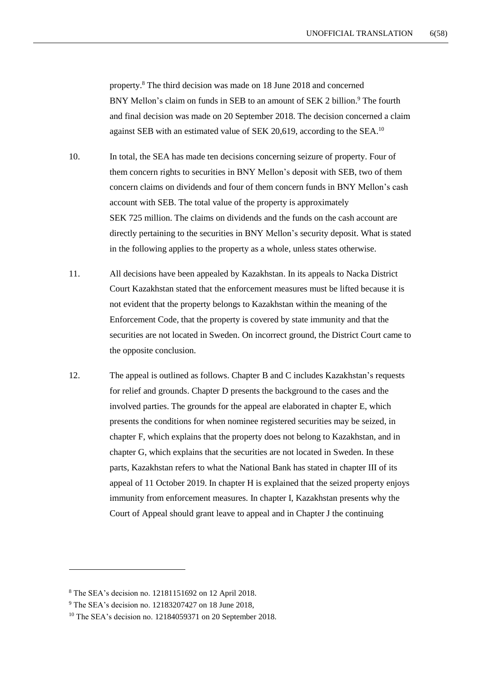property. <sup>8</sup> The third decision was made on 18 June 2018 and concerned BNY Mellon's claim on funds in SEB to an amount of SEK 2 billion.<sup>9</sup> The fourth and final decision was made on 20 September 2018. The decision concerned a claim against SEB with an estimated value of SEK 20,619, according to the SEA.<sup>10</sup>

10. In total, the SEA has made ten decisions concerning seizure of property. Four of them concern rights to securities in BNY Mellon's deposit with SEB, two of them concern claims on dividends and four of them concern funds in BNY Mellon's cash account with SEB. The total value of the property is approximately SEK 725 million. The claims on dividends and the funds on the cash account are directly pertaining to the securities in BNY Mellon's security deposit. What is stated in the following applies to the property as a whole, unless states otherwise.

- 11. All decisions have been appealed by Kazakhstan. In its appeals to Nacka District Court Kazakhstan stated that the enforcement measures must be lifted because it is not evident that the property belongs to Kazakhstan within the meaning of the Enforcement Code, that the property is covered by state immunity and that the securities are not located in Sweden. On incorrect ground, the District Court came to the opposite conclusion.
- 12. The appeal is outlined as follows. Chapter B and C includes Kazakhstan's requests for relief and grounds. Chapter D presents the background to the cases and the involved parties. The grounds for the appeal are elaborated in chapter E, which presents the conditions for when nominee registered securities may be seized, in chapter F, which explains that the property does not belong to Kazakhstan, and in chapter G, which explains that the securities are not located in Sweden. In these parts, Kazakhstan refers to what the National Bank has stated in chapter III of its appeal of 11 October 2019. In chapter H is explained that the seized property enjoys immunity from enforcement measures. In chapter I, Kazakhstan presents why the Court of Appeal should grant leave to appeal and in Chapter J the continuing

<sup>8</sup> The SEA's decision no. 12181151692 on 12 April 2018.

<sup>9</sup> The SEA's decision no. 12183207427 on 18 June 2018,

<sup>&</sup>lt;sup>10</sup> The SEA's decision no. 12184059371 on 20 September 2018.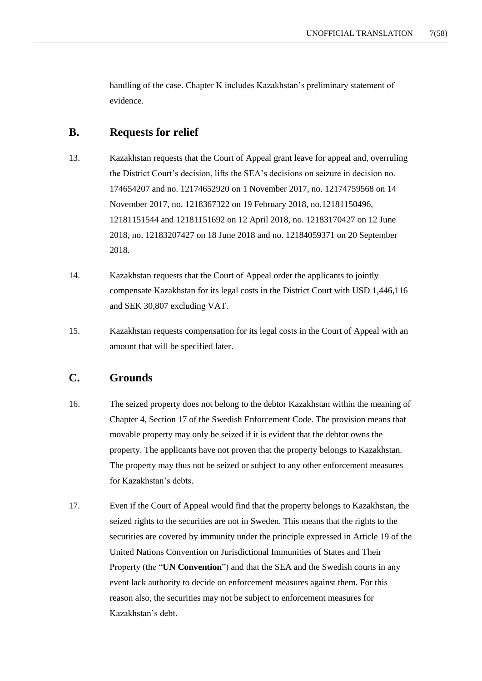handling of the case. Chapter K includes Kazakhstan's preliminary statement of evidence.

# **B. Requests for relief**

- 13. Kazakhstan requests that the Court of Appeal grant leave for appeal and, overruling the District Court's decision, lifts the SEA's decisions on seizure in decision no. 174654207 and no. 12174652920 on 1 November 2017, no. 12174759568 on 14 November 2017, no. 1218367322 on 19 February 2018, no.12181150496, 12181151544 and 12181151692 on 12 April 2018, no. 12183170427 on 12 June 2018, no. 12183207427 on 18 June 2018 and no. 12184059371 on 20 September 2018.
- 14. Kazakhstan requests that the Court of Appeal order the applicants to jointly compensate Kazakhstan for its legal costs in the District Court with USD 1,446,116 and SEK 30,807 excluding VAT.
- 15. Kazakhstan requests compensation for its legal costs in the Court of Appeal with an amount that will be specified later.

# **C. Grounds**

- 16. The seized property does not belong to the debtor Kazakhstan within the meaning of Chapter 4, Section 17 of the Swedish Enforcement Code. The provision means that movable property may only be seized if it is evident that the debtor owns the property. The applicants have not proven that the property belongs to Kazakhstan. The property may thus not be seized or subject to any other enforcement measures for Kazakhstan's debts.
- 17. Even if the Court of Appeal would find that the property belongs to Kazakhstan, the seized rights to the securities are not in Sweden. This means that the rights to the securities are covered by immunity under the principle expressed in Article 19 of the United Nations Convention on Jurisdictional Immunities of States and Their Property (the "**UN Convention**") and that the SEA and the Swedish courts in any event lack authority to decide on enforcement measures against them. For this reason also, the securities may not be subject to enforcement measures for Kazakhstan's debt.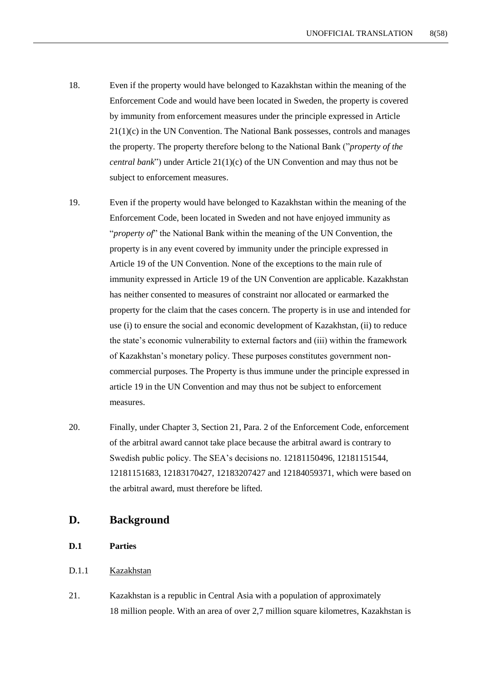- 18. Even if the property would have belonged to Kazakhstan within the meaning of the Enforcement Code and would have been located in Sweden, the property is covered by immunity from enforcement measures under the principle expressed in Article 21(1)(c) in the UN Convention. The National Bank possesses, controls and manages the property. The property therefore belong to the National Bank ("*property of the central bank*") under Article 21(1)(c) of the UN Convention and may thus not be subject to enforcement measures.
- 19. Even if the property would have belonged to Kazakhstan within the meaning of the Enforcement Code, been located in Sweden and not have enjoyed immunity as "*property of*" the National Bank within the meaning of the UN Convention, the property is in any event covered by immunity under the principle expressed in Article 19 of the UN Convention. None of the exceptions to the main rule of immunity expressed in Article 19 of the UN Convention are applicable. Kazakhstan has neither consented to measures of constraint nor allocated or earmarked the property for the claim that the cases concern. The property is in use and intended for use (i) to ensure the social and economic development of Kazakhstan, (ii) to reduce the state's economic vulnerability to external factors and (iii) within the framework of Kazakhstan's monetary policy. These purposes constitutes government noncommercial purposes. The Property is thus immune under the principle expressed in article 19 in the UN Convention and may thus not be subject to enforcement measures.
- 20. Finally, under Chapter 3, Section 21, Para. 2 of the Enforcement Code, enforcement of the arbitral award cannot take place because the arbitral award is contrary to Swedish public policy. The SEA's decisions no. 12181150496, 12181151544, 12181151683, 12183170427, 12183207427 and 12184059371, which were based on the arbitral award, must therefore be lifted.

## **D. Background**

## **D.1 Parties**

#### D.1.1 Kazakhstan

21. Kazakhstan is a republic in Central Asia with a population of approximately 18 million people. With an area of over 2,7 million square kilometres, Kazakhstan is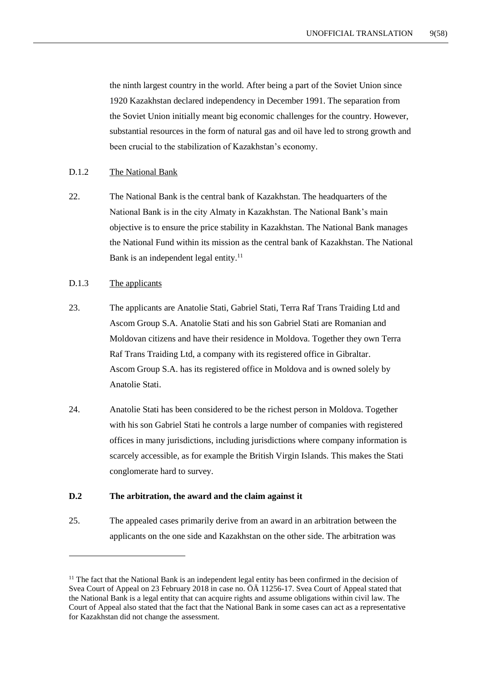the ninth largest country in the world. After being a part of the Soviet Union since 1920 Kazakhstan declared independency in December 1991. The separation from the Soviet Union initially meant big economic challenges for the country. However, substantial resources in the form of natural gas and oil have led to strong growth and been crucial to the stabilization of Kazakhstan's economy.

#### <span id="page-8-0"></span>D.1.2 The National Bank

22. The National Bank is the central bank of Kazakhstan. The headquarters of the National Bank is in the city Almaty in Kazakhstan. The National Bank's main objective is to ensure the price stability in Kazakhstan. The National Bank manages the National Fund within its mission as the central bank of Kazakhstan. The National Bank is an independent legal entity. $11$ 

#### D.1.3 The applicants

1

- 23. The applicants are Anatolie Stati, Gabriel Stati, Terra Raf Trans Traiding Ltd and Ascom Group S.A. Anatolie Stati and his son Gabriel Stati are Romanian and Moldovan citizens and have their residence in Moldova. Together they own Terra Raf Trans Traiding Ltd, a company with its registered office in Gibraltar. Ascom Group S.A. has its registered office in Moldova and is owned solely by Anatolie Stati.
- 24. Anatolie Stati has been considered to be the richest person in Moldova. Together with his son Gabriel Stati he controls a large number of companies with registered offices in many jurisdictions, including jurisdictions where company information is scarcely accessible, as for example the British Virgin Islands. This makes the Stati conglomerate hard to survey.

#### **D.2 The arbitration, the award and the claim against it**

25. The appealed cases primarily derive from an award in an arbitration between the applicants on the one side and Kazakhstan on the other side. The arbitration was

<sup>&</sup>lt;sup>11</sup> The fact that the National Bank is an independent legal entity has been confirmed in the decision of Svea Court of Appeal on 23 February 2018 in case no. ÖÄ 11256-17. Svea Court of Appeal stated that the National Bank is a legal entity that can acquire rights and assume obligations within civil law. The Court of Appeal also stated that the fact that the National Bank in some cases can act as a representative for Kazakhstan did not change the assessment.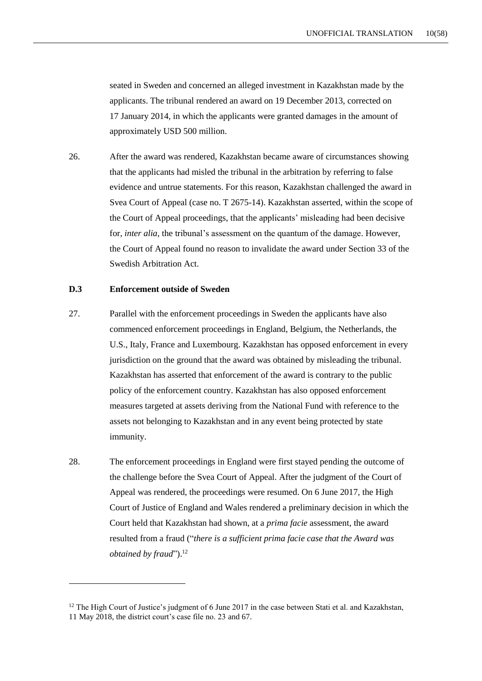seated in Sweden and concerned an alleged investment in Kazakhstan made by the applicants. The tribunal rendered an award on 19 December 2013, corrected on 17 January 2014, in which the applicants were granted damages in the amount of approximately USD 500 million.

26. After the award was rendered, Kazakhstan became aware of circumstances showing that the applicants had misled the tribunal in the arbitration by referring to false evidence and untrue statements. For this reason, Kazakhstan challenged the award in Svea Court of Appeal (case no. T 2675-14). Kazakhstan asserted, within the scope of the Court of Appeal proceedings, that the applicants' misleading had been decisive for, *inter alia*, the tribunal's assessment on the quantum of the damage. However, the Court of Appeal found no reason to invalidate the award under Section 33 of the Swedish Arbitration Act.

#### **D.3 Enforcement outside of Sweden**

- 27. Parallel with the enforcement proceedings in Sweden the applicants have also commenced enforcement proceedings in England, Belgium, the Netherlands, the U.S., Italy, France and Luxembourg. Kazakhstan has opposed enforcement in every jurisdiction on the ground that the award was obtained by misleading the tribunal. Kazakhstan has asserted that enforcement of the award is contrary to the public policy of the enforcement country. Kazakhstan has also opposed enforcement measures targeted at assets deriving from the National Fund with reference to the assets not belonging to Kazakhstan and in any event being protected by state immunity.
- 28. The enforcement proceedings in England were first stayed pending the outcome of the challenge before the Svea Court of Appeal. After the judgment of the Court of Appeal was rendered, the proceedings were resumed. On 6 June 2017, the High Court of Justice of England and Wales rendered a preliminary decision in which the Court held that Kazakhstan had shown, at a *prima facie* assessment, the award resulted from a fraud ("*there is a sufficient prima facie case that the Award was obtained by fraud*"). 12

 $12$  The High Court of Justice's judgment of 6 June 2017 in the case between Stati et al. and Kazakhstan, 11 May 2018, the district court's case file no. 23 and 67.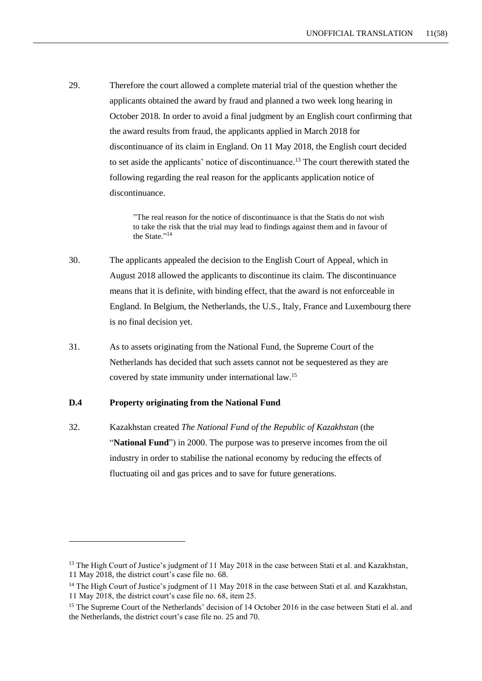29. Therefore the court allowed a complete material trial of the question whether the applicants obtained the award by fraud and planned a two week long hearing in October 2018. In order to avoid a final judgment by an English court confirming that the award results from fraud, the applicants applied in March 2018 for discontinuance of its claim in England. On 11 May 2018, the English court decided to set aside the applicants' notice of discontinuance.<sup>13</sup> The court therewith stated the following regarding the real reason for the applicants application notice of discontinuance.

> "The real reason for the notice of discontinuance is that the Statis do not wish to take the risk that the trial may lead to findings against them and in favour of the State."<sup>14</sup>

- 30. The applicants appealed the decision to the English Court of Appeal, which in August 2018 allowed the applicants to discontinue its claim. The discontinuance means that it is definite, with binding effect, that the award is not enforceable in England. In Belgium, the Netherlands, the U.S., Italy, France and Luxembourg there is no final decision yet.
- 31. As to assets originating from the National Fund, the Supreme Court of the Netherlands has decided that such assets cannot not be sequestered as they are covered by state immunity under international law. 15

## **D.4 Property originating from the National Fund**

1

32. Kazakhstan created *The National Fund of the Republic of Kazakhstan* (the "**National Fund**") in 2000. The purpose was to preserve incomes from the oil industry in order to stabilise the national economy by reducing the effects of fluctuating oil and gas prices and to save for future generations.

<sup>&</sup>lt;sup>13</sup> The High Court of Justice's judgment of 11 May 2018 in the case between Stati et al. and Kazakhstan, 11 May 2018, the district court's case file no. 68.

<sup>&</sup>lt;sup>14</sup> The High Court of Justice's judgment of 11 May 2018 in the case between Stati et al. and Kazakhstan, 11 May 2018, the district court's case file no. 68, item 25.

<sup>&</sup>lt;sup>15</sup> The Supreme Court of the Netherlands' decision of 14 October 2016 in the case between Stati el al. and the Netherlands, the district court's case file no. 25 and 70.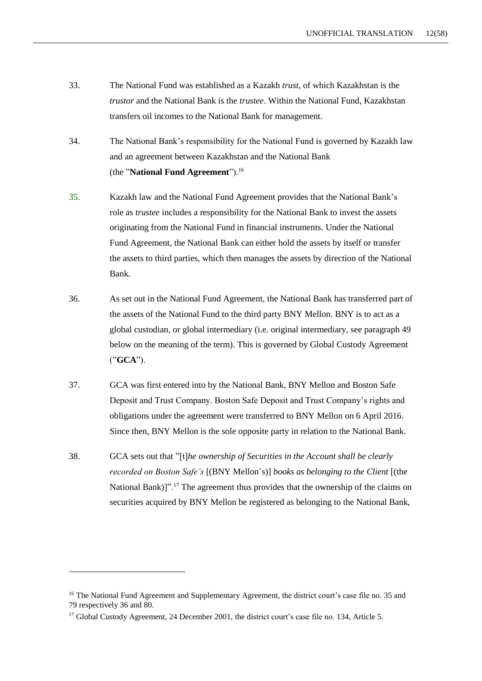- 33. The National Fund was established as a Kazakh *trust*, of which Kazakhstan is the *trustor* and the National Bank is the *trustee*. Within the National Fund, Kazakhstan transfers oil incomes to the National Bank for management.
- 34. The National Bank's responsibility for the National Fund is governed by Kazakh law and an agreement between Kazakhstan and the National Bank (the "**National Fund Agreement**").<sup>16</sup>
- 35. Kazakh law and the National Fund Agreement provides that the National Bank's role as *trustee* includes a responsibility for the National Bank to invest the assets originating from the National Fund in financial instruments. Under the National Fund Agreement, the National Bank can either hold the assets by itself or transfer the assets to third parties, which then manages the assets by direction of the National Bank.
- 36. As set out in the National Fund Agreement, the National Bank has transferred part of the assets of the National Fund to the third party BNY Mellon. BNY is to act as a global custodian, or global intermediary (i.e. original intermediary, see paragraph 49 below on the meaning of the term). This is governed by Global Custody Agreement ("**GCA**").
- 37. GCA was first entered into by the National Bank, BNY Mellon and Boston Safe Deposit and Trust Company. Boston Safe Deposit and Trust Company's rights and obligations under the agreement were transferred to BNY Mellon on 6 April 2016. Since then, BNY Mellon is the sole opposite party in relation to the National Bank.
- 38. GCA sets out that "[t]*he ownership of Securities in the Account shall be clearly recorded on Boston Safe's* [(BNY Mellon's)] *books as belonging to the Client* [(the National Bank)]".<sup>17</sup> The agreement thus provides that the ownership of the claims on securities acquired by BNY Mellon be registered as belonging to the National Bank,

<sup>&</sup>lt;sup>16</sup> The National Fund Agreement and Supplementary Agreement, the district court's case file no. 35 and 79 respectively 36 and 80.

<sup>&</sup>lt;sup>17</sup> Global Custody Agreement, 24 December 2001, the district court's case file no. 134, Article 5.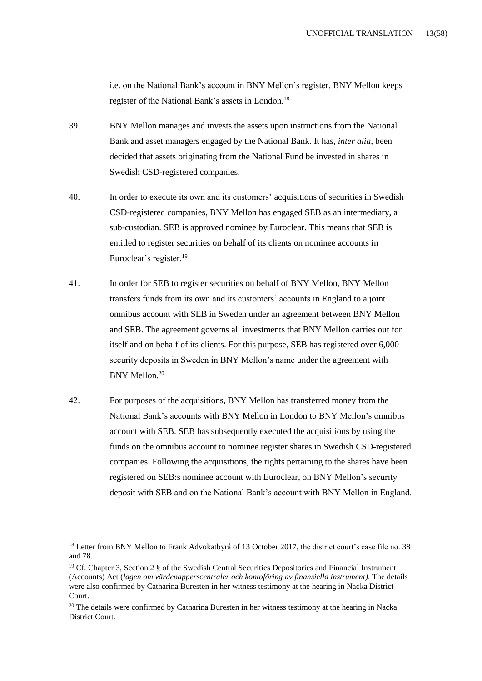i.e. on the National Bank's account in BNY Mellon's register. BNY Mellon keeps register of the National Bank's assets in London.<sup>18</sup>

- 39. BNY Mellon manages and invests the assets upon instructions from the National Bank and asset managers engaged by the National Bank. It has, *inter alia*, been decided that assets originating from the National Fund be invested in shares in Swedish CSD-registered companies.
- 40. In order to execute its own and its customers' acquisitions of securities in Swedish CSD-registered companies, BNY Mellon has engaged SEB as an intermediary, a sub-custodian. SEB is approved nominee by Euroclear. This means that SEB is entitled to register securities on behalf of its clients on nominee accounts in Euroclear's register.<sup>19</sup>
- 41. In order for SEB to register securities on behalf of BNY Mellon, BNY Mellon transfers funds from its own and its customers' accounts in England to a joint omnibus account with SEB in Sweden under an agreement between BNY Mellon and SEB. The agreement governs all investments that BNY Mellon carries out for itself and on behalf of its clients. For this purpose, SEB has registered over 6,000 security deposits in Sweden in BNY Mellon's name under the agreement with BNY Mellon. 20
- 42. For purposes of the acquisitions, BNY Mellon has transferred money from the National Bank's accounts with BNY Mellon in London to BNY Mellon's omnibus account with SEB. SEB has subsequently executed the acquisitions by using the funds on the omnibus account to nominee register shares in Swedish CSD-registered companies. Following the acquisitions, the rights pertaining to the shares have been registered on SEB:s nominee account with Euroclear, on BNY Mellon's security deposit with SEB and on the National Bank's account with BNY Mellon in England.

<sup>&</sup>lt;sup>18</sup> Letter from BNY Mellon to Frank Advokatbyrå of 13 October 2017, the district court's case file no. 38 and 78.

<sup>&</sup>lt;sup>19</sup> Cf. Chapter 3, Section 2 § of the Swedish Central Securities Depositories and Financial Instrument (Accounts) Act (*lagen om värdepapperscentraler och kontoföring av finansiella instrument)*. The details were also confirmed by Catharina Buresten in her witness testimony at the hearing in Nacka District Court.

<sup>&</sup>lt;sup>20</sup> The details were confirmed by Catharina Buresten in her witness testimony at the hearing in Nacka District Court.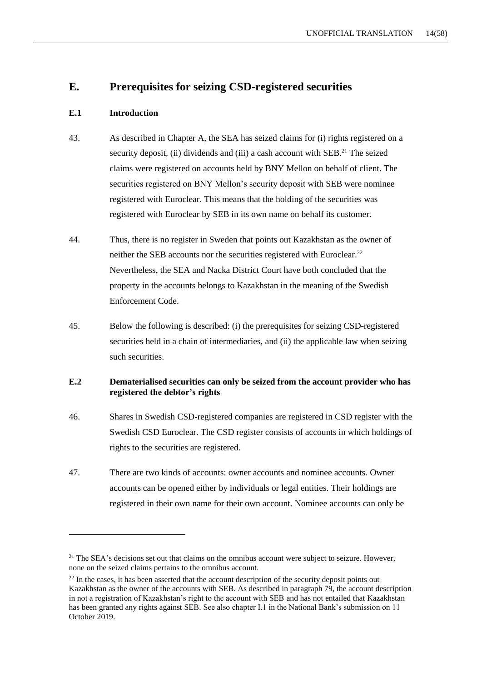# **E. Prerequisites for seizing CSD-registered securities**

## **E.1 Introduction**

-

- 43. As described in Chapter A, the SEA has seized claims for (i) rights registered on a security deposit, (ii) dividends and (iii) a cash account with  $SEB<sup>21</sup>$  The seized claims were registered on accounts held by BNY Mellon on behalf of client. The securities registered on BNY Mellon's security deposit with SEB were nominee registered with Euroclear. This means that the holding of the securities was registered with Euroclear by SEB in its own name on behalf its customer.
- 44. Thus, there is no register in Sweden that points out Kazakhstan as the owner of neither the SEB accounts nor the securities registered with Euroclear.<sup>22</sup> Nevertheless, the SEA and Nacka District Court have both concluded that the property in the accounts belongs to Kazakhstan in the meaning of the Swedish Enforcement Code.
- 45. Below the following is described: (i) the prerequisites for seizing CSD-registered securities held in a chain of intermediaries, and (ii) the applicable law when seizing such securities.

## **E.2 Dematerialised securities can only be seized from the account provider who has registered the debtor's rights**

- 46. Shares in Swedish CSD-registered companies are registered in CSD register with the Swedish CSD Euroclear. The CSD register consists of accounts in which holdings of rights to the securities are registered.
- 47. There are two kinds of accounts: owner accounts and nominee accounts. Owner accounts can be opened either by individuals or legal entities. Their holdings are registered in their own name for their own account. Nominee accounts can only be

<sup>&</sup>lt;sup>21</sup> The SEA's decisions set out that claims on the omnibus account were subject to seizure. However, none on the seized claims pertains to the omnibus account.

 $22$  In the cases, it has been asserted that the account description of the security deposit points out Kazakhstan as the owner of the accounts with SEB. As described in paragraph 79, the account description in not a registration of Kazakhstan's right to the account with SEB and has not entailed that Kazakhstan has been granted any rights against SEB. See also chapter I.1 in the National Bank's submission on 11 October 2019.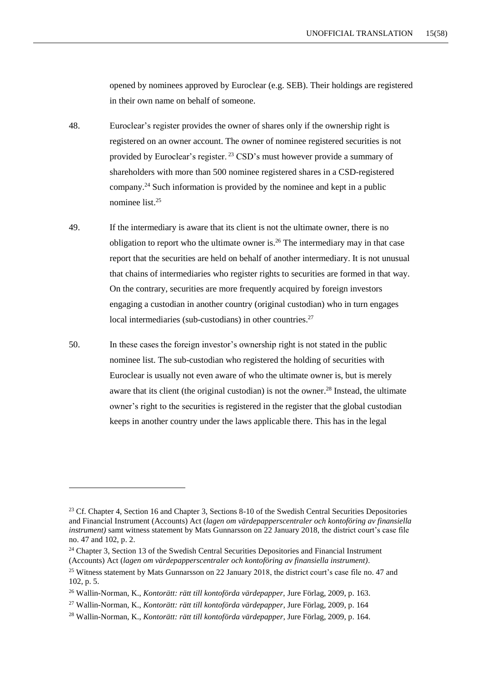opened by nominees approved by Euroclear (e.g. SEB). Their holdings are registered in their own name on behalf of someone.

- 48. Euroclear's register provides the owner of shares only if the ownership right is registered on an owner account. The owner of nominee registered securities is not provided by Euroclear's register. <sup>23</sup> CSD's must however provide a summary of shareholders with more than 500 nominee registered shares in a CSD-registered company.<sup>24</sup> Such information is provided by the nominee and kept in a public nominee list.<sup>25</sup>
- 49. If the intermediary is aware that its client is not the ultimate owner, there is no obligation to report who the ultimate owner is.<sup>26</sup> The intermediary may in that case report that the securities are held on behalf of another intermediary. It is not unusual that chains of intermediaries who register rights to securities are formed in that way. On the contrary, securities are more frequently acquired by foreign investors engaging a custodian in another country (original custodian) who in turn engages local intermediaries (sub-custodians) in other countries.<sup>27</sup>
- 50. In these cases the foreign investor's ownership right is not stated in the public nominee list. The sub-custodian who registered the holding of securities with Euroclear is usually not even aware of who the ultimate owner is, but is merely aware that its client (the original custodian) is not the owner.<sup>28</sup> Instead, the ultimate owner's right to the securities is registered in the register that the global custodian keeps in another country under the laws applicable there. This has in the legal

<sup>&</sup>lt;sup>23</sup> Cf. Chapter 4, Section 16 and Chapter 3, Sections 8-10 of the Swedish Central Securities Depositories and Financial Instrument (Accounts) Act (*lagen om värdepapperscentraler och kontoföring av finansiella instrument*) samt witness statement by Mats Gunnarsson on 22 January 2018, the district court's case file no. 47 and 102, p. 2.

<sup>&</sup>lt;sup>24</sup> Chapter 3, Section 13 of the Swedish Central Securities Depositories and Financial Instrument (Accounts) Act (*lagen om värdepapperscentraler och kontoföring av finansiella instrument)*.

<sup>&</sup>lt;sup>25</sup> Witness statement by Mats Gunnarsson on 22 January 2018, the district court's case file no. 47 and 102, p. 5.

<sup>26</sup> Wallin-Norman, K., *Kontorätt: rätt till kontoförda värdepapper,* Jure Förlag, 2009, p. 163.

<sup>27</sup> Wallin-Norman, K., *Kontorätt: rätt till kontoförda värdepapper*, Jure Förlag, 2009, p. 164

<sup>28</sup> Wallin-Norman, K., *Kontorätt: rätt till kontoförda värdepapper*, Jure Förlag, 2009, p. 164.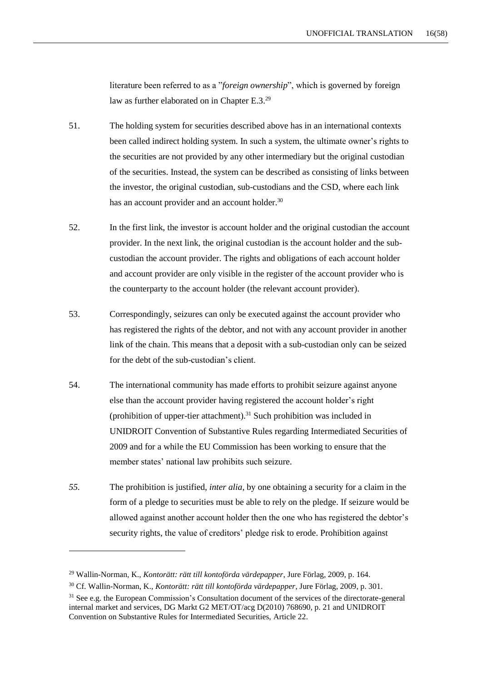literature been referred to as a "*foreign ownership*", which is governed by foreign law as further elaborated on in Chapter E.3.<sup>29</sup>

- 51. The holding system for securities described above has in an international contexts been called indirect holding system. In such a system, the ultimate owner's rights to the securities are not provided by any other intermediary but the original custodian of the securities. Instead, the system can be described as consisting of links between the investor, the original custodian, sub-custodians and the CSD, where each link has an account provider and an account holder.<sup>30</sup>
- 52. In the first link, the investor is account holder and the original custodian the account provider. In the next link, the original custodian is the account holder and the subcustodian the account provider. The rights and obligations of each account holder and account provider are only visible in the register of the account provider who is the counterparty to the account holder (the relevant account provider).
- 53. Correspondingly, seizures can only be executed against the account provider who has registered the rights of the debtor, and not with any account provider in another link of the chain. This means that a deposit with a sub-custodian only can be seized for the debt of the sub-custodian's client.
- 54. The international community has made efforts to prohibit seizure against anyone else than the account provider having registered the account holder's right (prohibition of upper-tier attachment).<sup>31</sup> Such prohibition was included in UNIDROIT Convention of Substantive Rules regarding Intermediated Securities of 2009 and for a while the EU Commission has been working to ensure that the member states' national law prohibits such seizure.
- *55.* The prohibition is justified, *inter alia,* by one obtaining a security for a claim in the form of a pledge to securities must be able to rely on the pledge. If seizure would be allowed against another account holder then the one who has registered the debtor's security rights, the value of creditors' pledge risk to erode. Prohibition against

<sup>29</sup> Wallin-Norman, K., *Kontorätt: rätt till kontoförda värdepapper*, Jure Förlag, 2009, p. 164.

<sup>30</sup> Cf. Wallin-Norman, K., *Kontorätt: rätt till kontoförda värdepapper*, Jure Förlag, 2009, p. 301.

<sup>&</sup>lt;sup>31</sup> See e.g. the European Commission's Consultation document of the services of the directorate-general internal market and services, DG Markt G2 MET/OT/acg D(2010) 768690, p. 21 and UNIDROIT Convention on Substantive Rules for Intermediated Securities, Article 22.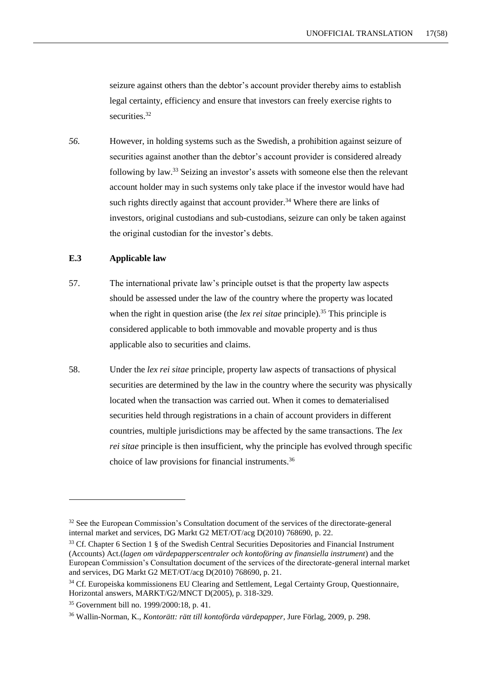seizure against others than the debtor's account provider thereby aims to establish legal certainty, efficiency and ensure that investors can freely exercise rights to securities.<sup>32</sup>

*56.* However, in holding systems such as the Swedish, a prohibition against seizure of securities against another than the debtor's account provider is considered already following by law.<sup>33</sup> Seizing an investor's assets with someone else then the relevant account holder may in such systems only take place if the investor would have had such rights directly against that account provider.<sup>34</sup> Where there are links of investors, original custodians and sub-custodians, seizure can only be taken against the original custodian for the investor's debts.

#### **E.3 Applicable law**

- 57. The international private law's principle outset is that the property law aspects should be assessed under the law of the country where the property was located when the right in question arise (the *lex rei sitae* principle).<sup>35</sup> This principle is considered applicable to both immovable and movable property and is thus applicable also to securities and claims.
- 58. Under the *lex rei sitae* principle, property law aspects of transactions of physical securities are determined by the law in the country where the security was physically located when the transaction was carried out. When it comes to dematerialised securities held through registrations in a chain of account providers in different countries, multiple jurisdictions may be affected by the same transactions. The *lex rei sitae* principle is then insufficient, why the principle has evolved through specific choice of law provisions for financial instruments.<sup>36</sup>

<sup>&</sup>lt;sup>32</sup> See the European Commission's Consultation document of the services of the directorate-general internal market and services, DG Markt G2 MET/OT/acg D(2010) 768690, p. 22.

<sup>&</sup>lt;sup>33</sup> Cf. Chapter 6 Section 1 § of the Swedish Central Securities Depositories and Financial Instrument (Accounts) Act.(*lagen om värdepapperscentraler och kontoföring av finansiella instrument*) and the European Commission's Consultation document of the services of the directorate-general internal market and services, DG Markt G2 MET/OT/acg D(2010) 768690, p. 21.

<sup>&</sup>lt;sup>34</sup> Cf. Europeiska kommissionens EU Clearing and Settlement, Legal Certainty Group, Ouestionnaire, Horizontal answers, MARKT/G2/MNCT D(2005), p. 318-329.

<sup>35</sup> Government bill no. 1999/2000:18, p. 41.

<sup>36</sup> Wallin-Norman, K., *Kontorätt: rätt till kontoförda värdepapper*, Jure Förlag, 2009, p. 298.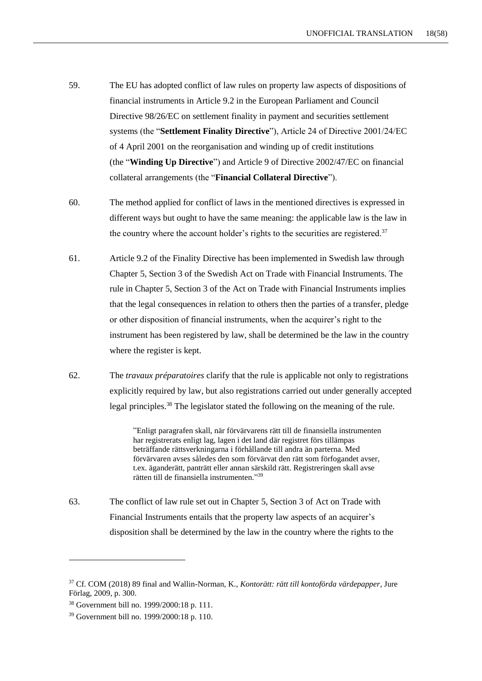- 59. The EU has adopted conflict of law rules on property law aspects of dispositions of financial instruments in Article 9.2 in the European Parliament and Council Directive 98/26/EC on settlement finality in payment and securities settlement systems (the "**Settlement Finality Directive**"), Article 24 of Directive 2001/24/EC of 4 April 2001 on the reorganisation and winding up of credit institutions (the "**Winding Up Directive**") and Article 9 of Directive 2002/47/EC on financial collateral arrangements (the "**Financial Collateral Directive**").
- 60. The method applied for conflict of laws in the mentioned directives is expressed in different ways but ought to have the same meaning: the applicable law is the law in the country where the account holder's rights to the securities are registered.<sup>37</sup>
- 61. Article 9.2 of the Finality Directive has been implemented in Swedish law through Chapter 5, Section 3 of the Swedish Act on Trade with Financial Instruments. The rule in Chapter 5, Section 3 of the Act on Trade with Financial Instruments implies that the legal consequences in relation to others then the parties of a transfer, pledge or other disposition of financial instruments, when the acquirer's right to the instrument has been registered by law, shall be determined be the law in the country where the register is kept.
- 62. The *travaux préparatoires* clarify that the rule is applicable not only to registrations explicitly required by law, but also registrations carried out under generally accepted legal principles.<sup>38</sup> The legislator stated the following on the meaning of the rule.

"Enligt paragrafen skall, när förvärvarens rätt till de finansiella instrumenten har registrerats enligt lag, lagen i det land där registret förs tillämpas beträffande rättsverkningarna i förhållande till andra än parterna. Med förvärvaren avses således den som förvärvat den rätt som förfogandet avser, t.ex. äganderätt, panträtt eller annan särskild rätt. Registreringen skall avse rätten till de finansiella instrumenten." 39

63. The conflict of law rule set out in Chapter 5, Section 3 of Act on Trade with Financial Instruments entails that the property law aspects of an acquirer's disposition shall be determined by the law in the country where the rights to the

<sup>37</sup> Cf. COM (2018) 89 final and Wallin-Norman, K., *Kontorätt: rätt till kontoförda värdepapper*, Jure Förlag, 2009, p. 300.

<sup>38</sup> Government bill no. 1999/2000:18 p. 111.

<sup>39</sup> Government bill no. 1999/2000:18 p. 110.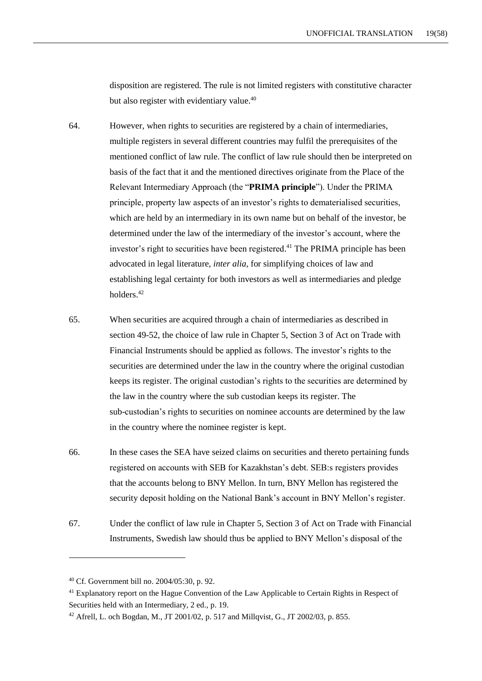disposition are registered. The rule is not limited registers with constitutive character but also register with evidentiary value.<sup>40</sup>

- 64. However, when rights to securities are registered by a chain of intermediaries, multiple registers in several different countries may fulfil the prerequisites of the mentioned conflict of law rule. The conflict of law rule should then be interpreted on basis of the fact that it and the mentioned directives originate from the Place of the Relevant Intermediary Approach (the "**PRIMA principle**"). Under the PRIMA principle, property law aspects of an investor's rights to dematerialised securities, which are held by an intermediary in its own name but on behalf of the investor, be determined under the law of the intermediary of the investor's account, where the investor's right to securities have been registered. <sup>41</sup> The PRIMA principle has been advocated in legal literature, *inter alia,* for simplifying choices of law and establishing legal certainty for both investors as well as intermediaries and pledge holders.<sup>42</sup>
- 65. When securities are acquired through a chain of intermediaries as described in section 49-52, the choice of law rule in Chapter 5, Section 3 of Act on Trade with Financial Instruments should be applied as follows. The investor's rights to the securities are determined under the law in the country where the original custodian keeps its register. The original custodian's rights to the securities are determined by the law in the country where the sub custodian keeps its register. The sub-custodian's rights to securities on nominee accounts are determined by the law in the country where the nominee register is kept.
- 66. In these cases the SEA have seized claims on securities and thereto pertaining funds registered on accounts with SEB for Kazakhstan's debt. SEB:s registers provides that the accounts belong to BNY Mellon. In turn, BNY Mellon has registered the security deposit holding on the National Bank's account in BNY Mellon's register.
- 67. Under the conflict of law rule in Chapter 5, Section 3 of Act on Trade with Financial Instruments, Swedish law should thus be applied to BNY Mellon's disposal of the

<sup>40</sup> Cf. Government bill no. 2004/05:30, p. 92.

<sup>&</sup>lt;sup>41</sup> Explanatory report on the Hague Convention of the Law Applicable to Certain Rights in Respect of Securities held with an Intermediary, 2 ed., p. 19.

<sup>&</sup>lt;sup>42</sup> Afrell, L. och Bogdan, M., JT 2001/02, p. 517 and Millqvist, G., JT 2002/03, p. 855.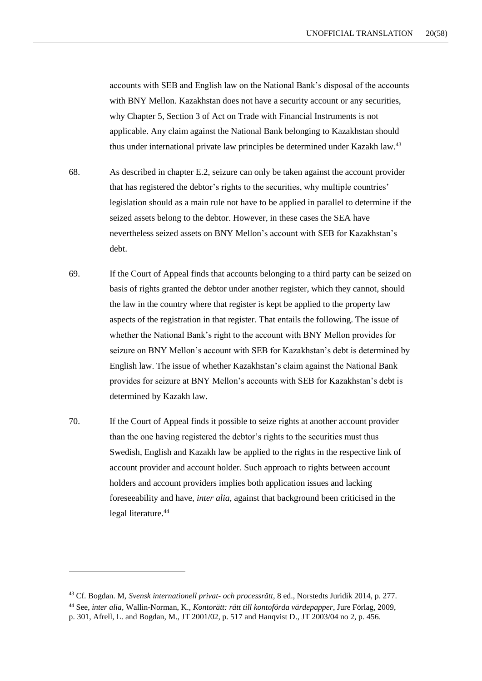accounts with SEB and English law on the National Bank's disposal of the accounts with BNY Mellon. Kazakhstan does not have a security account or any securities, why Chapter 5, Section 3 of Act on Trade with Financial Instruments is not applicable. Any claim against the National Bank belonging to Kazakhstan should thus under international private law principles be determined under Kazakh law.<sup>43</sup>

- 68. As described in chapter E.2, seizure can only be taken against the account provider that has registered the debtor's rights to the securities, why multiple countries' legislation should as a main rule not have to be applied in parallel to determine if the seized assets belong to the debtor. However, in these cases the SEA have nevertheless seized assets on BNY Mellon's account with SEB for Kazakhstan's debt.
- 69. If the Court of Appeal finds that accounts belonging to a third party can be seized on basis of rights granted the debtor under another register, which they cannot, should the law in the country where that register is kept be applied to the property law aspects of the registration in that register. That entails the following. The issue of whether the National Bank's right to the account with BNY Mellon provides for seizure on BNY Mellon's account with SEB for Kazakhstan's debt is determined by English law. The issue of whether Kazakhstan's claim against the National Bank provides for seizure at BNY Mellon's accounts with SEB for Kazakhstan's debt is determined by Kazakh law.
- 70. If the Court of Appeal finds it possible to seize rights at another account provider than the one having registered the debtor's rights to the securities must thus Swedish, English and Kazakh law be applied to the rights in the respective link of account provider and account holder. Such approach to rights between account holders and account providers implies both application issues and lacking foreseeability and have, *inter alia*, against that background been criticised in the legal literature.<sup>44</sup>

<sup>43</sup> Cf. Bogdan. M, *Svensk internationell privat- och processrätt*, 8 ed., Norstedts Juridik 2014, p. 277.

<sup>44</sup> See, *inter alia,* Wallin-Norman, K., *Kontorätt: rätt till kontoförda värdepapper*, Jure Förlag, 2009,

p. 301, Afrell, L. and Bogdan, M., JT 2001/02, p. 517 and Hanqvist D., JT 2003/04 no 2, p. 456.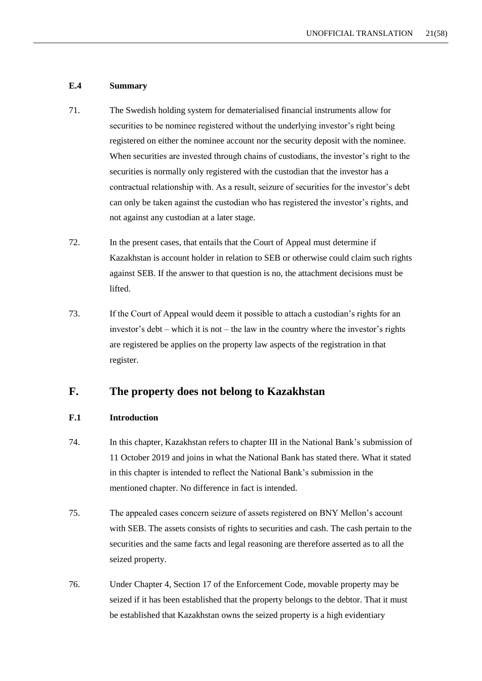#### **E.4 Summary**

- 71. The Swedish holding system for dematerialised financial instruments allow for securities to be nominee registered without the underlying investor's right being registered on either the nominee account nor the security deposit with the nominee. When securities are invested through chains of custodians, the investor's right to the securities is normally only registered with the custodian that the investor has a contractual relationship with. As a result, seizure of securities for the investor's debt can only be taken against the custodian who has registered the investor's rights, and not against any custodian at a later stage.
- 72. In the present cases, that entails that the Court of Appeal must determine if Kazakhstan is account holder in relation to SEB or otherwise could claim such rights against SEB. If the answer to that question is no, the attachment decisions must be lifted.
- 73. If the Court of Appeal would deem it possible to attach a custodian's rights for an investor's debt – which it is not – the law in the country where the investor's rights are registered be applies on the property law aspects of the registration in that register.

# **F. The property does not belong to Kazakhstan**

#### **F.1 Introduction**

- 74. In this chapter, Kazakhstan refers to chapter III in the National Bank's submission of 11 October 2019 and joins in what the National Bank has stated there. What it stated in this chapter is intended to reflect the National Bank's submission in the mentioned chapter. No difference in fact is intended.
- 75. The appealed cases concern seizure of assets registered on BNY Mellon's account with SEB. The assets consists of rights to securities and cash. The cash pertain to the securities and the same facts and legal reasoning are therefore asserted as to all the seized property.
- 76. Under Chapter 4, Section 17 of the Enforcement Code, movable property may be seized if it has been established that the property belongs to the debtor. That it must be established that Kazakhstan owns the seized property is a high evidentiary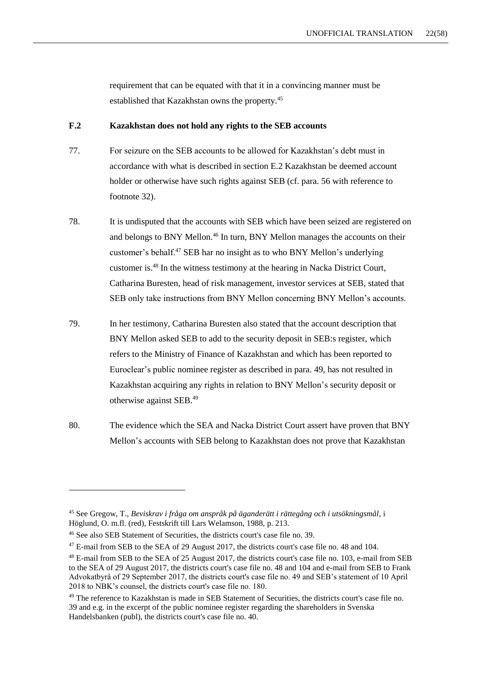requirement that can be equated with that it in a convincing manner must be established that Kazakhstan owns the property.<sup>45</sup>

#### **F.2 Kazakhstan does not hold any rights to the SEB accounts**

- 77. For seizure on the SEB accounts to be allowed for Kazakhstan's debt must in accordance with what is described in section E.2 Kazakhstan be deemed account holder or otherwise have such rights against SEB (cf. para. 56 with reference to footnote 32).
- 78. It is undisputed that the accounts with SEB which have been seized are registered on and belongs to BNY Mellon.<sup>46</sup> In turn, BNY Mellon manages the accounts on their customer's behalf.<sup>47</sup> SEB har no insight as to who BNY Mellon's underlying customer is.<sup>48</sup> In the witness testimony at the hearing in Nacka District Court, Catharina Buresten, head of risk management, investor services at SEB, stated that SEB only take instructions from BNY Mellon concerning BNY Mellon's accounts.
- 79. In her testimony, Catharina Buresten also stated that the account description that BNY Mellon asked SEB to add to the security deposit in SEB:s register, which refers to the Ministry of Finance of Kazakhstan and which has been reported to Euroclear's public nominee register as described in para. 49, has not resulted in Kazakhstan acquiring any rights in relation to BNY Mellon's security deposit or otherwise against SEB.<sup>49</sup>
- 80. The evidence which the SEA and Nacka District Court assert have proven that BNY Mellon's accounts with SEB belong to Kazakhstan does not prove that Kazakhstan

<sup>45</sup> See Gregow, T., *Beviskrav i fråga om anspråk på äganderätt i rättegång och i utsökningsmål*, i Höglund, O. m.fl. (red), Festskrift till Lars Welamson, 1988, p. 213.

<sup>46</sup> See also SEB Statement of Securities, the districts court's case file no. 39.

<sup>&</sup>lt;sup>47</sup> E-mail from SEB to the SEA of 29 August 2017, the districts court's case file no. 48 and 104.

<sup>48</sup> E-mail from SEB to the SEA of 25 August 2017, the districts court's case file no. 103, e-mail from SEB to the SEA of 29 August 2017, the districts court's case file no. 48 and 104 and e-mail from SEB to Frank Advokatbyrå of 29 September 2017, the districts court's case file no. 49 and SEB's statement of 10 April 2018 to NBK's counsel, the districts court's case file no. 180.

<sup>&</sup>lt;sup>49</sup> The reference to Kazakhstan is made in SEB Statement of Securities, the districts court's case file no. 39 and e.g. in the excerpt of the public nominee register regarding the shareholders in Svenska Handelsbanken (publ), the districts court's case file no. 40.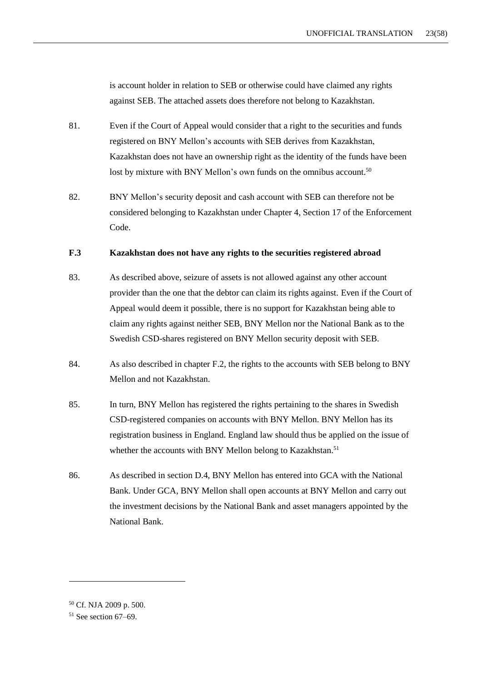is account holder in relation to SEB or otherwise could have claimed any rights against SEB. The attached assets does therefore not belong to Kazakhstan.

- 81. Even if the Court of Appeal would consider that a right to the securities and funds registered on BNY Mellon's accounts with SEB derives from Kazakhstan, Kazakhstan does not have an ownership right as the identity of the funds have been lost by mixture with BNY Mellon's own funds on the omnibus account.<sup>50</sup>
- 82. BNY Mellon's security deposit and cash account with SEB can therefore not be considered belonging to Kazakhstan under Chapter 4, Section 17 of the Enforcement Code.

### **F.3 Kazakhstan does not have any rights to the securities registered abroad**

- 83. As described above, seizure of assets is not allowed against any other account provider than the one that the debtor can claim its rights against. Even if the Court of Appeal would deem it possible, there is no support for Kazakhstan being able to claim any rights against neither SEB, BNY Mellon nor the National Bank as to the Swedish CSD-shares registered on BNY Mellon security deposit with SEB.
- 84. As also described in chapter F.2, the rights to the accounts with SEB belong to BNY Mellon and not Kazakhstan.
- 85. In turn, BNY Mellon has registered the rights pertaining to the shares in Swedish CSD-registered companies on accounts with BNY Mellon. BNY Mellon has its registration business in England. England law should thus be applied on the issue of whether the accounts with BNY Mellon belong to Kazakhstan.<sup>51</sup>
- 86. As described in section D.4, BNY Mellon has entered into GCA with the National Bank. Under GCA, BNY Mellon shall open accounts at BNY Mellon and carry out the investment decisions by the National Bank and asset managers appointed by the National Bank.

<sup>50</sup> Cf. NJA 2009 p. 500.

 $51$  See section 67–69.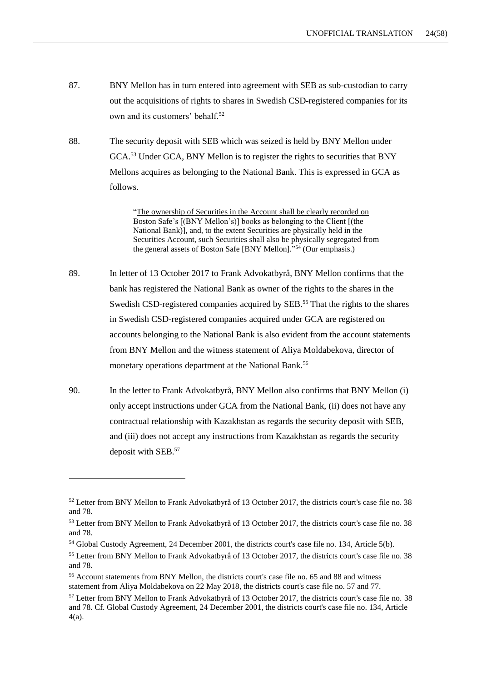- 87. BNY Mellon has in turn entered into agreement with SEB as sub-custodian to carry out the acquisitions of rights to shares in Swedish CSD-registered companies for its own and its customers' behalf.<sup>52</sup>
- 88. The security deposit with SEB which was seized is held by BNY Mellon under GCA.<sup>53</sup> Under GCA, BNY Mellon is to register the rights to securities that BNY Mellons acquires as belonging to the National Bank. This is expressed in GCA as follows.

"The ownership of Securities in the Account shall be clearly recorded on Boston Safe's [(BNY Mellon's)] books as belonging to the Client [(the National Bank)], and, to the extent Securities are physically held in the Securities Account, such Securities shall also be physically segregated from the general assets of Boston Safe [BNY Mellon]." <sup>54</sup> (Our emphasis.)

- 89. In letter of 13 October 2017 to Frank Advokatbyrå, BNY Mellon confirms that the bank has registered the National Bank as owner of the rights to the shares in the Swedish CSD-registered companies acquired by SEB.<sup>55</sup> That the rights to the shares in Swedish CSD-registered companies acquired under GCA are registered on accounts belonging to the National Bank is also evident from the account statements from BNY Mellon and the witness statement of Aliya Moldabekova, director of monetary operations department at the National Bank.<sup>56</sup>
- 90. In the letter to Frank Advokatbyrå, BNY Mellon also confirms that BNY Mellon (i) only accept instructions under GCA from the National Bank, (ii) does not have any contractual relationship with Kazakhstan as regards the security deposit with SEB, and (iii) does not accept any instructions from Kazakhstan as regards the security deposit with SEB.<sup>57</sup>

<sup>52</sup> Letter from BNY Mellon to Frank Advokatbyrå of 13 October 2017, the districts court's case file no. 38 and 78.

<sup>53</sup> Letter from BNY Mellon to Frank Advokatbyrå of 13 October 2017, the districts court's case file no. 38 and 78.

<sup>54</sup> Global Custody Agreement, 24 December 2001, the districts court's case file no. 134, Article 5(b).

<sup>&</sup>lt;sup>55</sup> Letter from BNY Mellon to Frank Advokatbyrå of 13 October 2017, the districts court's case file no. 38 and 78.

<sup>56</sup> Account statements from BNY Mellon, the districts court's case file no. 65 and 88 and witness statement from Aliya Moldabekova on 22 May 2018, the districts court's case file no. 57 and 77.

<sup>57</sup> Letter from BNY Mellon to Frank Advokatbyrå of 13 October 2017, the districts court's case file no. 38 and 78. Cf. Global Custody Agreement, 24 December 2001, the districts court's case file no. 134, Article 4(a).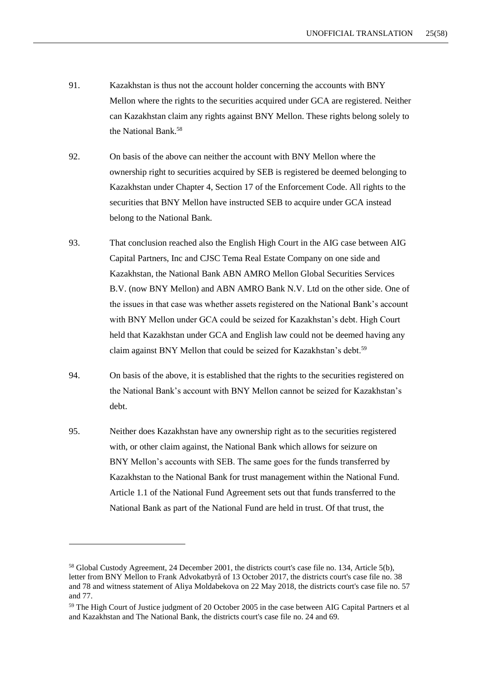- 91. Kazakhstan is thus not the account holder concerning the accounts with BNY Mellon where the rights to the securities acquired under GCA are registered. Neither can Kazakhstan claim any rights against BNY Mellon. These rights belong solely to the National Bank.<sup>58</sup>
- 92. On basis of the above can neither the account with BNY Mellon where the ownership right to securities acquired by SEB is registered be deemed belonging to Kazakhstan under Chapter 4, Section 17 of the Enforcement Code. All rights to the securities that BNY Mellon have instructed SEB to acquire under GCA instead belong to the National Bank.
- 93. That conclusion reached also the English High Court in the AIG case between AIG Capital Partners, Inc and CJSC Tema Real Estate Company on one side and Kazakhstan, the National Bank ABN AMRO Mellon Global Securities Services B.V. (now BNY Mellon) and ABN AMRO Bank N.V. Ltd on the other side. One of the issues in that case was whether assets registered on the National Bank's account with BNY Mellon under GCA could be seized for Kazakhstan's debt. High Court held that Kazakhstan under GCA and English law could not be deemed having any claim against BNY Mellon that could be seized for Kazakhstan's debt.<sup>59</sup>
- 94. On basis of the above, it is established that the rights to the securities registered on the National Bank's account with BNY Mellon cannot be seized for Kazakhstan's debt.
- 95. Neither does Kazakhstan have any ownership right as to the securities registered with, or other claim against, the National Bank which allows for seizure on BNY Mellon's accounts with SEB. The same goes for the funds transferred by Kazakhstan to the National Bank for trust management within the National Fund. Article 1.1 of the National Fund Agreement sets out that funds transferred to the National Bank as part of the National Fund are held in trust. Of that trust, the

<sup>58</sup> Global Custody Agreement, 24 December 2001, the districts court's case file no. 134, Article 5(b), letter from BNY Mellon to Frank Advokatbyrå of 13 October 2017, the districts court's case file no. 38 and 78 and witness statement of Aliya Moldabekova on 22 May 2018, the districts court's case file no. 57 and 77.

<sup>59</sup> The High Court of Justice judgment of 20 October 2005 in the case between AIG Capital Partners et al and Kazakhstan and The National Bank, the districts court's case file no. 24 and 69.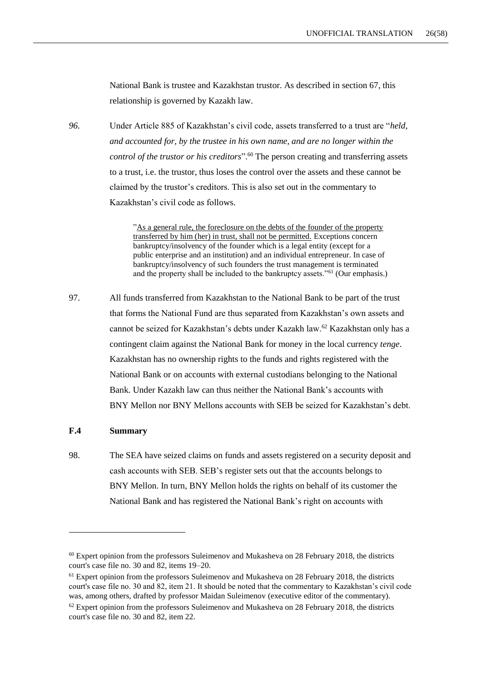National Bank is trustee and Kazakhstan trustor. As described in section 67, this relationship is governed by Kazakh law.

*96.* Under Article 885 of Kazakhstan's civil code, assets transferred to a trust are "*held, and accounted for, by the trustee in his own name, and are no longer within the control of the trustor or his creditors*". <sup>60</sup> The person creating and transferring assets to a trust, i.e. the trustor, thus loses the control over the assets and these cannot be claimed by the trustor's creditors. This is also set out in the commentary to Kazakhstan's civil code as follows.

> "As a general rule, the foreclosure on the debts of the founder of the property transferred by him (her) in trust, shall not be permitted. Exceptions concern bankruptcy/insolvency of the founder which is a legal entity (except for a public enterprise and an institution) and an individual entrepreneur. In case of bankruptcy/insolvency of such founders the trust management is terminated and the property shall be included to the bankruptcy assets."<sup>61</sup> (Our emphasis.)

97. All funds transferred from Kazakhstan to the National Bank to be part of the trust that forms the National Fund are thus separated from Kazakhstan's own assets and cannot be seized for Kazakhstan's debts under Kazakh law.<sup>62</sup> Kazakhstan only has a contingent claim against the National Bank for money in the local currency *tenge*. Kazakhstan has no ownership rights to the funds and rights registered with the National Bank or on accounts with external custodians belonging to the National Bank. Under Kazakh law can thus neither the National Bank's accounts with BNY Mellon nor BNY Mellons accounts with SEB be seized for Kazakhstan's debt.

#### **F.4 Summary**

-

98. The SEA have seized claims on funds and assets registered on a security deposit and cash accounts with SEB. SEB's register sets out that the accounts belongs to BNY Mellon. In turn, BNY Mellon holds the rights on behalf of its customer the National Bank and has registered the National Bank's right on accounts with

 $60$  Expert opinion from the professors Suleimenov and Mukasheva on 28 February 2018, the districts court's case file no. 30 and 82, items 19–20.

 $<sup>61</sup>$  Expert opinion from the professors Suleimenov and Mukasheva on 28 February 2018, the districts</sup> court's case file no. 30 and 82, item 21. It should be noted that the commentary to Kazakhstan's civil code was, among others, drafted by professor Maidan Suleimenov (executive editor of the commentary).  $62$  Expert opinion from the professors Suleimenov and Mukasheva on 28 February 2018, the districts court's case file no. 30 and 82, item 22.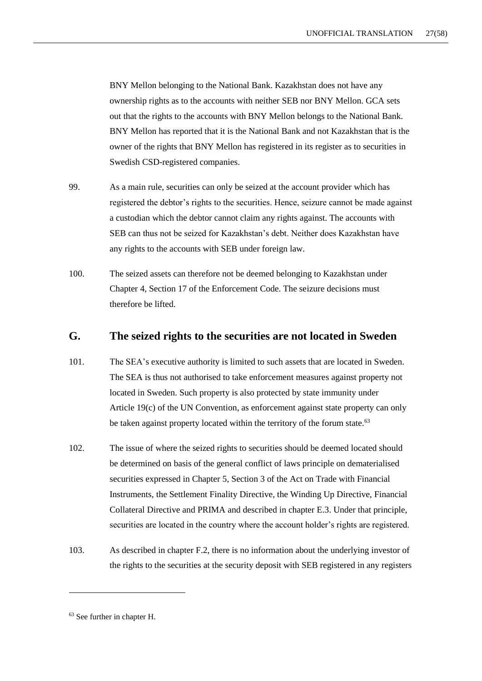BNY Mellon belonging to the National Bank. Kazakhstan does not have any ownership rights as to the accounts with neither SEB nor BNY Mellon. GCA sets out that the rights to the accounts with BNY Mellon belongs to the National Bank. BNY Mellon has reported that it is the National Bank and not Kazakhstan that is the owner of the rights that BNY Mellon has registered in its register as to securities in Swedish CSD-registered companies.

- 99. As a main rule, securities can only be seized at the account provider which has registered the debtor's rights to the securities. Hence, seizure cannot be made against a custodian which the debtor cannot claim any rights against. The accounts with SEB can thus not be seized for Kazakhstan's debt. Neither does Kazakhstan have any rights to the accounts with SEB under foreign law.
- 100. The seized assets can therefore not be deemed belonging to Kazakhstan under Chapter 4, Section 17 of the Enforcement Code. The seizure decisions must therefore be lifted.

# **G. The seized rights to the securities are not located in Sweden**

- 101. The SEA's executive authority is limited to such assets that are located in Sweden. The SEA is thus not authorised to take enforcement measures against property not located in Sweden. Such property is also protected by state immunity under Article 19(c) of the UN Convention, as enforcement against state property can only be taken against property located within the territory of the forum state.<sup>63</sup>
- 102. The issue of where the seized rights to securities should be deemed located should be determined on basis of the general conflict of laws principle on dematerialised securities expressed in Chapter 5, Section 3 of the Act on Trade with Financial Instruments, the Settlement Finality Directive, the Winding Up Directive, Financial Collateral Directive and PRIMA and described in chapter E.3. Under that principle, securities are located in the country where the account holder's rights are registered.
- 103. As described in chapter F.2, there is no information about the underlying investor of the rights to the securities at the security deposit with SEB registered in any registers

<sup>63</sup> See further in chapter H.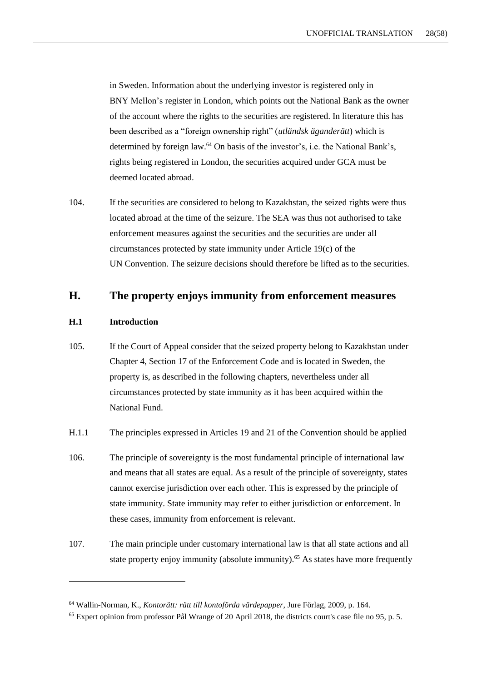in Sweden. Information about the underlying investor is registered only in BNY Mellon's register in London, which points out the National Bank as the owner of the account where the rights to the securities are registered. In literature this has been described as a "foreign ownership right" (*utländsk äganderätt*) which is determined by foreign law.<sup>64</sup> On basis of the investor's, i.e. the National Bank's, rights being registered in London, the securities acquired under GCA must be deemed located abroad.

104. If the securities are considered to belong to Kazakhstan, the seized rights were thus located abroad at the time of the seizure. The SEA was thus not authorised to take enforcement measures against the securities and the securities are under all circumstances protected by state immunity under Article 19(c) of the UN Convention. The seizure decisions should therefore be lifted as to the securities.

# **H. The property enjoys immunity from enforcement measures**

#### **H.1 Introduction**

-

105. If the Court of Appeal consider that the seized property belong to Kazakhstan under Chapter 4, Section 17 of the Enforcement Code and is located in Sweden, the property is, as described in the following chapters, nevertheless under all circumstances protected by state immunity as it has been acquired within the National Fund.

#### H.1.1 The principles expressed in Articles 19 and 21 of the Convention should be applied

- 106. The principle of sovereignty is the most fundamental principle of international law and means that all states are equal. As a result of the principle of sovereignty, states cannot exercise jurisdiction over each other. This is expressed by the principle of state immunity. State immunity may refer to either jurisdiction or enforcement. In these cases, immunity from enforcement is relevant.
- 107. The main principle under customary international law is that all state actions and all state property enjoy immunity (absolute immunity).<sup>65</sup> As states have more frequently

<sup>64</sup> Wallin-Norman, K., *Kontorätt: rätt till kontoförda värdepapper*, Jure Förlag, 2009, p. 164.

 $<sup>65</sup>$  Expert opinion from professor Pål Wrange of 20 April 2018, the districts court's case file no 95, p. 5.</sup>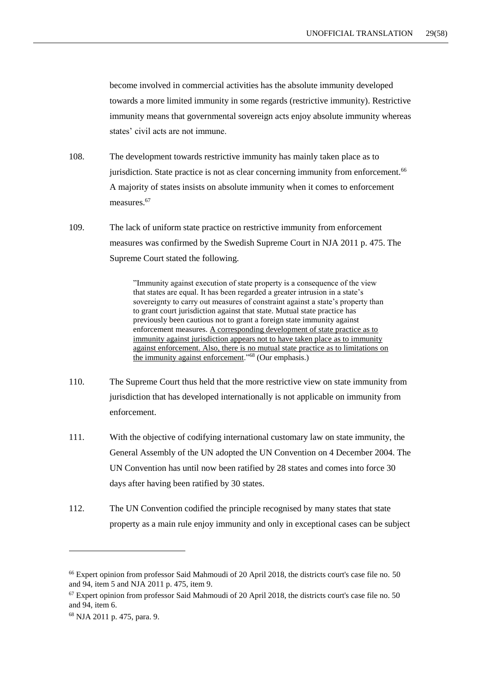become involved in commercial activities has the absolute immunity developed towards a more limited immunity in some regards (restrictive immunity). Restrictive immunity means that governmental sovereign acts enjoy absolute immunity whereas states' civil acts are not immune.

- 108. The development towards restrictive immunity has mainly taken place as to jurisdiction. State practice is not as clear concerning immunity from enforcement.<sup>66</sup> A majority of states insists on absolute immunity when it comes to enforcement measures.<sup>67</sup>
- 109. The lack of uniform state practice on restrictive immunity from enforcement measures was confirmed by the Swedish Supreme Court in NJA 2011 p. 475. The Supreme Court stated the following.

"Immunity against execution of state property is a consequence of the view that states are equal. It has been regarded a greater intrusion in a state's sovereignty to carry out measures of constraint against a state's property than to grant court jurisdiction against that state. Mutual state practice has previously been cautious not to grant a foreign state immunity against enforcement measures. A corresponding development of state practice as to immunity against jurisdiction appears not to have taken place as to immunity against enforcement. Also, there is no mutual state practice as to limitations on the immunity against enforcement."<sup>68</sup> (Our emphasis.)

- 110. The Supreme Court thus held that the more restrictive view on state immunity from jurisdiction that has developed internationally is not applicable on immunity from enforcement.
- 111. With the objective of codifying international customary law on state immunity, the General Assembly of the UN adopted the UN Convention on 4 December 2004. The UN Convention has until now been ratified by 28 states and comes into force 30 days after having been ratified by 30 states.
- 112. The UN Convention codified the principle recognised by many states that state property as a main rule enjoy immunity and only in exceptional cases can be subject

<sup>66</sup> Expert opinion from professor Said Mahmoudi of 20 April 2018, the districts court's case file no. 50 and 94, item 5 and NJA 2011 p. 475, item 9.

 $67$  Expert opinion from professor Said Mahmoudi of 20 April 2018, the districts court's case file no. 50 and 94, item 6.

<sup>68</sup> NJA 2011 p. 475, para. 9.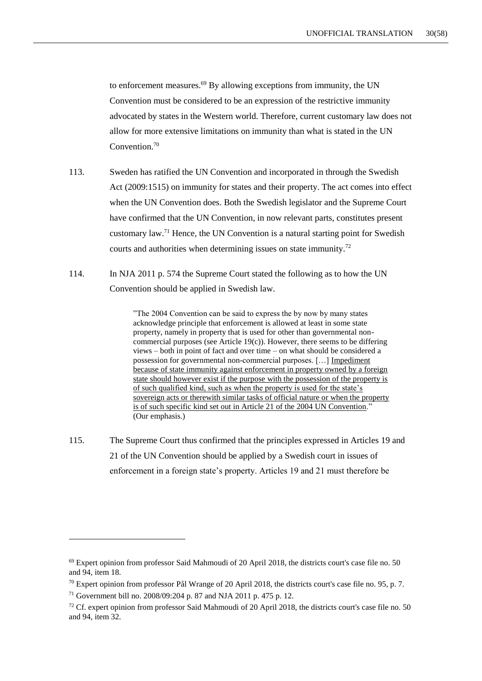to enforcement measures.<sup>69</sup> By allowing exceptions from immunity, the UN Convention must be considered to be an expression of the restrictive immunity advocated by states in the Western world. Therefore, current customary law does not allow for more extensive limitations on immunity than what is stated in the UN Convention.<sup>70</sup>

- 113. Sweden has ratified the UN Convention and incorporated in through the Swedish Act (2009:1515) on immunity for states and their property. The act comes into effect when the UN Convention does. Both the Swedish legislator and the Supreme Court have confirmed that the UN Convention, in now relevant parts, constitutes present customary law.<sup>71</sup> Hence, the UN Convention is a natural starting point for Swedish courts and authorities when determining issues on state immunity.<sup>72</sup>
- 114. In NJA 2011 p. 574 the Supreme Court stated the following as to how the UN Convention should be applied in Swedish law.

"The 2004 Convention can be said to express the by now by many states acknowledge principle that enforcement is allowed at least in some state property, namely in property that is used for other than governmental noncommercial purposes (see Article 19(c)). However, there seems to be differing views – both in point of fact and over time – on what should be considered a possession for governmental non-commercial purposes. […] Impediment because of state immunity against enforcement in property owned by a foreign state should however exist if the purpose with the possession of the property is of such qualified kind, such as when the property is used for the state's sovereign acts or therewith similar tasks of official nature or when the property is of such specific kind set out in Article 21 of the 2004 UN Convention." (Our emphasis.)

115. The Supreme Court thus confirmed that the principles expressed in Articles 19 and 21 of the UN Convention should be applied by a Swedish court in issues of enforcement in a foreign state's property. Articles 19 and 21 must therefore be

 $69$  Expert opinion from professor Said Mahmoudi of 20 April 2018, the districts court's case file no. 50 and 94, item 18.

 $70$  Expert opinion from professor Pål Wrange of 20 April 2018, the districts court's case file no. 95, p. 7.

<sup>71</sup> Government bill no. 2008/09:204 p. 87 and NJA 2011 p. 475 p. 12.

<sup>72</sup> Cf. expert opinion from professor Said Mahmoudi of 20 April 2018, the districts court's case file no. 50 and 94, item 32.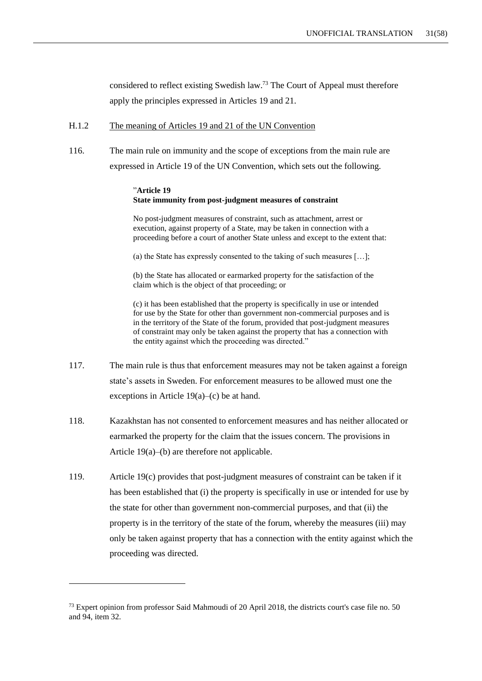considered to reflect existing Swedish law.<sup>73</sup> The Court of Appeal must therefore apply the principles expressed in Articles 19 and 21.

#### H.1.2 The meaning of Articles 19 and 21 of the UN Convention

116. The main rule on immunity and the scope of exceptions from the main rule are expressed in Article 19 of the UN Convention, which sets out the following.

#### "**Article 19 State immunity from post-judgment measures of constraint**

No post-judgment measures of constraint, such as attachment, arrest or execution, against property of a State, may be taken in connection with a proceeding before a court of another State unless and except to the extent that:

(a) the State has expressly consented to the taking of such measures […];

(b) the State has allocated or earmarked property for the satisfaction of the claim which is the object of that proceeding; or

(c) it has been established that the property is specifically in use or intended for use by the State for other than government non-commercial purposes and is in the territory of the State of the forum, provided that post-judgment measures of constraint may only be taken against the property that has a connection with the entity against which the proceeding was directed."

- 117. The main rule is thus that enforcement measures may not be taken against a foreign state's assets in Sweden. For enforcement measures to be allowed must one the exceptions in Article 19(a)–(c) be at hand.
- 118. Kazakhstan has not consented to enforcement measures and has neither allocated or earmarked the property for the claim that the issues concern. The provisions in Article 19(a)–(b) are therefore not applicable.
- 119. Article 19(c) provides that post-judgment measures of constraint can be taken if it has been established that (i) the property is specifically in use or intended for use by the state for other than government non-commercial purposes, and that (ii) the property is in the territory of the state of the forum, whereby the measures (iii) may only be taken against property that has a connection with the entity against which the proceeding was directed.

 $73$  Expert opinion from professor Said Mahmoudi of 20 April 2018, the districts court's case file no. 50 and 94, item 32.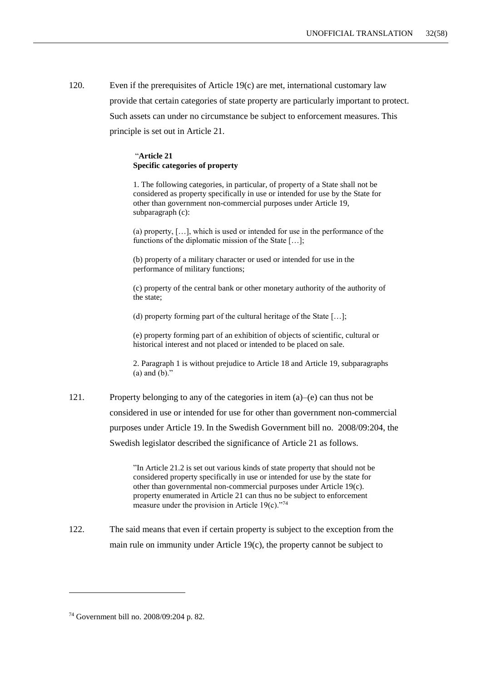120. Even if the prerequisites of Article 19(c) are met, international customary law provide that certain categories of state property are particularly important to protect. Such assets can under no circumstance be subject to enforcement measures. This principle is set out in Article 21.

#### "**Article 21 Specific categories of property**

1. The following categories, in particular, of property of a State shall not be considered as property specifically in use or intended for use by the State for other than government non-commercial purposes under Article 19, subparagraph (c):

(a) property, […], which is used or intended for use in the performance of the functions of the diplomatic mission of the State [...];

(b) property of a military character or used or intended for use in the performance of military functions;

(c) property of the central bank or other monetary authority of the authority of the state;

(d) property forming part of the cultural heritage of the State […];

(e) property forming part of an exhibition of objects of scientific, cultural or historical interest and not placed or intended to be placed on sale.

2. Paragraph 1 is without prejudice to Article 18 and Article 19, subparagraphs (a) and (b)."

121. Property belonging to any of the categories in item (a)–(e) can thus not be considered in use or intended for use for other than government non-commercial purposes under Article 19. In the Swedish Government bill no. 2008/09:204, the Swedish legislator described the significance of Article 21 as follows.

> "In Article 21.2 is set out various kinds of state property that should not be considered property specifically in use or intended for use by the state for other than governmental non-commercial purposes under Article 19(c). property enumerated in Article 21 can thus no be subject to enforcement measure under the provision in Article 19 $(c)$ ."<sup>74</sup>

122. The said means that even if certain property is subject to the exception from the main rule on immunity under Article 19(c), the property cannot be subject to

<sup>74</sup> Government bill no. 2008/09:204 p. 82.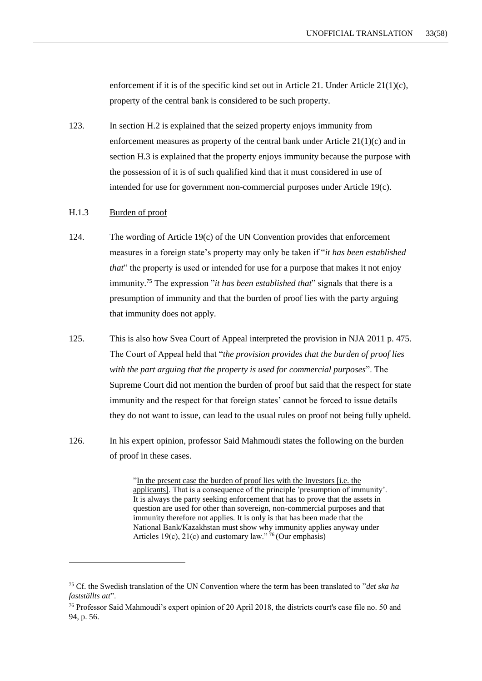enforcement if it is of the specific kind set out in Article 21. Under Article  $21(1)(c)$ , property of the central bank is considered to be such property.

123. In section [H.2](#page-33-0) is explained that the seized property enjoys immunity from enforcement measures as property of the central bank under Article 21(1)(c) and in section [H.3](#page-42-0) is explained that the property enjoys immunity because the purpose with the possession of it is of such qualified kind that it must considered in use of intended for use for government non-commercial purposes under Article 19(c).

## H.1.3 Burden of proof

-

- 124. The wording of Article 19(c) of the UN Convention provides that enforcement measures in a foreign state's property may only be taken if "*it has been established that*" the property is used or intended for use for a purpose that makes it not enjoy immunity.<sup>75</sup> The expression "*it has been established that*" signals that there is a presumption of immunity and that the burden of proof lies with the party arguing that immunity does not apply.
- 125. This is also how Svea Court of Appeal interpreted the provision in NJA 2011 p. 475. The Court of Appeal held that "*the provision provides that the burden of proof lies with the part arguing that the property is used for commercial purposes*". The Supreme Court did not mention the burden of proof but said that the respect for state immunity and the respect for that foreign states' cannot be forced to issue details they do not want to issue, can lead to the usual rules on proof not being fully upheld.
- 126. In his expert opinion, professor Said Mahmoudi states the following on the burden of proof in these cases.

"In the present case the burden of proof lies with the Investors [i.e. the applicants]. That is a consequence of the principle 'presumption of immunity'. It is always the party seeking enforcement that has to prove that the assets in question are used for other than sovereign, non-commercial purposes and that immunity therefore not applies. It is only is that has been made that the National Bank/Kazakhstan must show why immunity applies anyway under Articles 19(c), 21(c) and customary law."  $\frac{76}{6}$  (Our emphasis)

<sup>75</sup> Cf. the Swedish translation of the UN Convention where the term has been translated to "*det ska ha fastställts att*".

<sup>76</sup> Professor Said Mahmoudi's expert opinion of 20 April 2018, the districts court's case file no. 50 and 94, p. 56.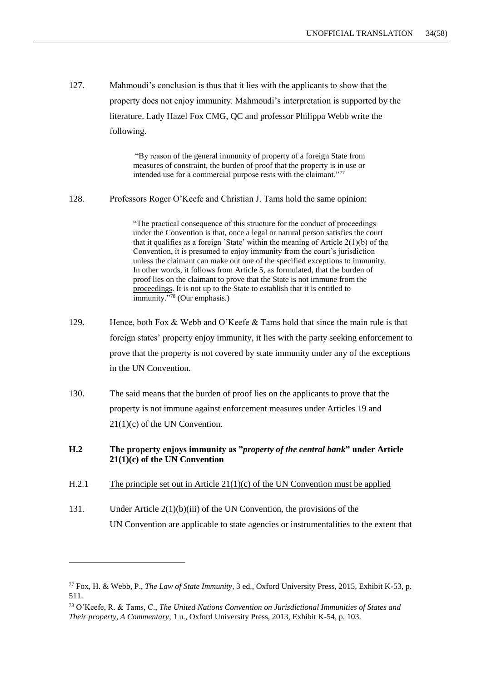127. Mahmoudi's conclusion is thus that it lies with the applicants to show that the property does not enjoy immunity. Mahmoudi's interpretation is supported by the literature. Lady Hazel Fox CMG, QC and professor Philippa Webb write the following.

> "By reason of the general immunity of property of a foreign State from measures of constraint, the burden of proof that the property is in use or intended use for a commercial purpose rests with the claimant."<sup>77</sup>

128. Professors Roger O'Keefe and Christian J. Tams hold the same opinion:

"The practical consequence of this structure for the conduct of proceedings under the Convention is that, once a legal or natural person satisfies the court that it qualifies as a foreign 'State' within the meaning of Article 2(1)(b) of the Convention, it is presumed to enjoy immunity from the court's jurisdiction unless the claimant can make out one of the specified exceptions to immunity. In other words, it follows from Article 5, as formulated, that the burden of proof lies on the claimant to prove that the State is not immune from the proceedings. It is not up to the State to establish that it is entitled to immunity."<sup>78</sup> (Our emphasis.)

- 129. Hence, both Fox & Webb and O'Keefe & Tams hold that since the main rule is that foreign states' property enjoy immunity, it lies with the party seeking enforcement to prove that the property is not covered by state immunity under any of the exceptions in the UN Convention.
- 130. The said means that the burden of proof lies on the applicants to prove that the property is not immune against enforcement measures under Articles 19 and 21(1)(c) of the UN Convention.

## <span id="page-33-0"></span>**H.2 The property enjoys immunity as "***property of the central bank***" under Article 21(1)(c) of the UN Convention**

H.2.1 The principle set out in Article 21(1)(c) of the UN Convention must be applied

-

131. Under Article 2(1)(b)(iii) of the UN Convention, the provisions of the UN Convention are applicable to state agencies or instrumentalities to the extent that

<sup>77</sup> Fox, H. & Webb, P., *The Law of State Immunity*, 3 ed., Oxford University Press, 2015, Exhibit K-53, p. 511.

<sup>78</sup> O'Keefe, R. & Tams, C., *The United Nations Convention on Jurisdictional Immunities of States and Their property, A Commentary*, 1 u., Oxford University Press, 2013, Exhibit K-54, p. 103.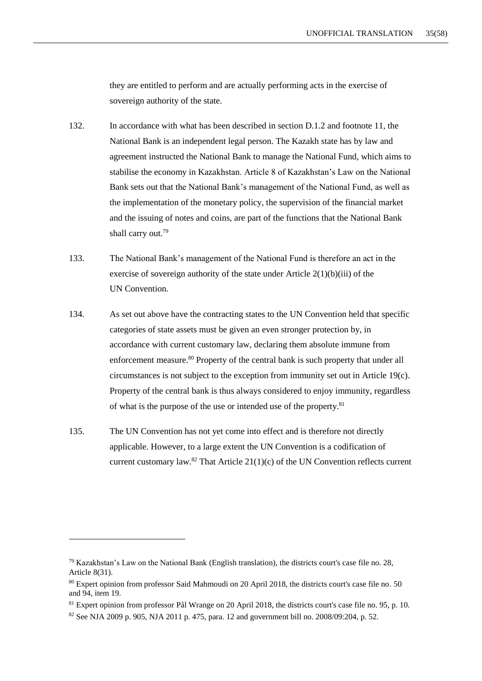they are entitled to perform and are actually performing acts in the exercise of sovereign authority of the state.

- 132. In accordance with what has been described in section [D.1.2](#page-8-0) and footnote 11, the National Bank is an independent legal person. The Kazakh state has by law and agreement instructed the National Bank to manage the National Fund, which aims to stabilise the economy in Kazakhstan. Article 8 of Kazakhstan's Law on the National Bank sets out that the National Bank's management of the National Fund, as well as the implementation of the monetary policy, the supervision of the financial market and the issuing of notes and coins, are part of the functions that the National Bank shall carry out.<sup>79</sup>
- 133. The National Bank's management of the National Fund is therefore an act in the exercise of sovereign authority of the state under Article 2(1)(b)(iii) of the UN Convention.
- 134. As set out above have the contracting states to the UN Convention held that specific categories of state assets must be given an even stronger protection by, in accordance with current customary law, declaring them absolute immune from enforcement measure.<sup>80</sup> Property of the central bank is such property that under all circumstances is not subject to the exception from immunity set out in Article 19(c). Property of the central bank is thus always considered to enjoy immunity, regardless of what is the purpose of the use or intended use of the property.<sup>81</sup>
- 135. The UN Convention has not yet come into effect and is therefore not directly applicable. However, to a large extent the UN Convention is a codification of current customary law.<sup>82</sup> That Article  $21(1)(c)$  of the UN Convention reflects current

<sup>79</sup> Kazakhstan's Law on the National Bank (English translation), the districts court's case file no. 28, Article 8(31).

<sup>80</sup> Expert opinion from professor Said Mahmoudi on 20 April 2018, the districts court's case file no. 50 and 94, item 19.

<sup>&</sup>lt;sup>81</sup> Expert opinion from professor Pål Wrange on 20 April 2018, the districts court's case file no. 95, p. 10.

 $82$  See NJA 2009 p. 905, NJA 2011 p. 475, para. 12 and government bill no. 2008/09:204, p. 52.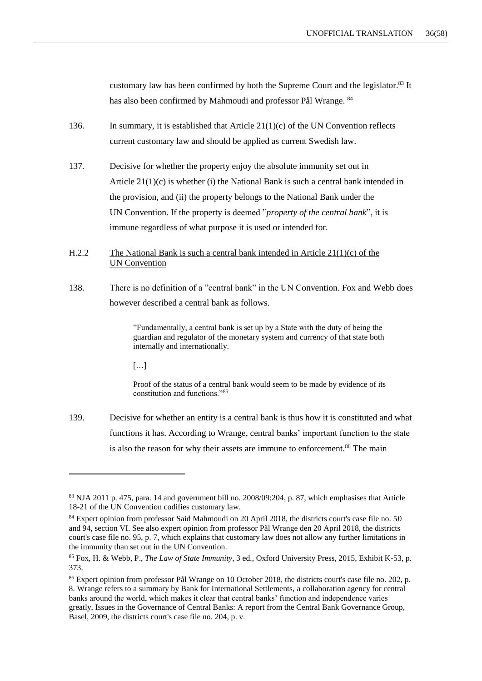customary law has been confirmed by both the Supreme Court and the legislator.<sup>83</sup> It has also been confirmed by Mahmoudi and professor Pål Wrange. <sup>84</sup>

- 136. In summary, it is established that Article  $21(1)(c)$  of the UN Convention reflects current customary law and should be applied as current Swedish law.
- 137. Decisive for whether the property enjoy the absolute immunity set out in Article 21(1)(c) is whether (i) the National Bank is such a central bank intended in the provision, and (ii) the property belongs to the National Bank under the UN Convention. If the property is deemed "*property of the central bank*", it is immune regardless of what purpose it is used or intended for.
- H.2.2 The National Bank is such a central bank intended in Article 21(1)(c) of the UN Convention
- 138. There is no definition of a "central bank" in the UN Convention. Fox and Webb does however described a central bank as follows.

"Fundamentally, a central bank is set up by a State with the duty of being the guardian and regulator of the monetary system and currency of that state both internally and internationally.

[…]

1

Proof of the status of a central bank would seem to be made by evidence of its constitution and functions."<sup>85</sup>

139. Decisive for whether an entity is a central bank is thus how it is constituted and what functions it has. According to Wrange, central banks' important function to the state is also the reason for why their assets are immune to enforcement.<sup>86</sup> The main

 $83$  NJA 2011 p. 475, para. 14 and government bill no. 2008/09:204, p. 87, which emphasises that Article 18-21 of the UN Convention codifies customary law.

<sup>&</sup>lt;sup>84</sup> Expert opinion from professor Said Mahmoudi on 20 April 2018, the districts court's case file no. 50 and 94, section VI. See also expert opinion from professor Pål Wrange den 20 April 2018, the districts court's case file no. 95, p. 7, which explains that customary law does not allow any further limitations in the immunity than set out in the UN Convention.

<sup>85</sup> Fox, H. & Webb, P., *The Law of State Immunity*, 3 ed., Oxford University Press, 2015, Exhibit K-53, p. 373.

<sup>&</sup>lt;sup>86</sup> Expert opinion from professor Pål Wrange on 10 October 2018, the districts court's case file no. 202, p.

<sup>8.</sup> Wrange refers to a summary by Bank for International Settlements, a collaboration agency for central banks around the world, which makes it clear that central banks' function and independence varies greatly, Issues in the Governance of Central Banks: A report from the Central Bank Governance Group, Basel, 2009, the districts court's case file no. 204, p. v.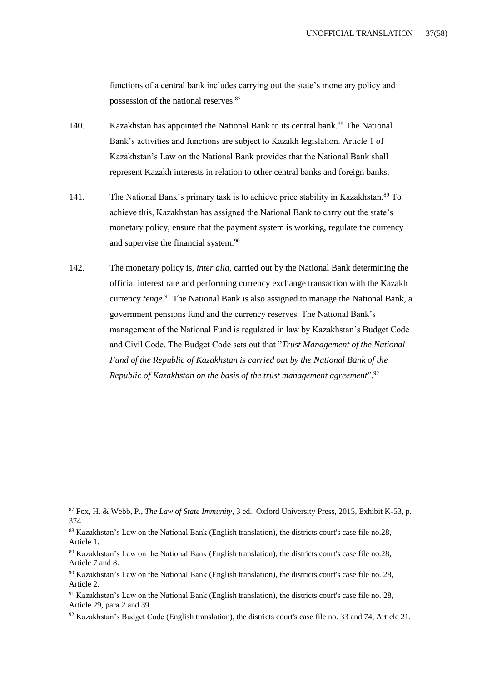functions of a central bank includes carrying out the state's monetary policy and possession of the national reserves.<sup>87</sup>

- 140. Kazakhstan has appointed the National Bank to its central bank.<sup>88</sup> The National Bank's activities and functions are subject to Kazakh legislation. Article 1 of Kazakhstan's Law on the National Bank provides that the National Bank shall represent Kazakh interests in relation to other central banks and foreign banks.
- 141. The National Bank's primary task is to achieve price stability in Kazakhstan.<sup>89</sup> To achieve this, Kazakhstan has assigned the National Bank to carry out the state's monetary policy, ensure that the payment system is working, regulate the currency and supervise the financial system.<sup>90</sup>
- 142. The monetary policy is, *inter alia*, carried out by the National Bank determining the official interest rate and performing currency exchange transaction with the Kazakh currency *tenge*. <sup>91</sup> The National Bank is also assigned to manage the National Bank, a government pensions fund and the currency reserves. The National Bank's management of the National Fund is regulated in law by Kazakhstan's Budget Code and Civil Code. The Budget Code sets out that "*Trust Management of the National Fund of the Republic of Kazakhstan is carried out by the National Bank of the Republic of Kazakhstan on the basis of the trust management agreement*".<sup>92</sup>

<sup>87</sup> Fox, H. & Webb, P., *The Law of State Immunity*, 3 ed., Oxford University Press, 2015, Exhibit K-53, p. 374.

<sup>88</sup> Kazakhstan's Law on the National Bank (English translation), the districts court's case file no.28, Article 1.

<sup>89</sup> Kazakhstan's Law on the National Bank (English translation), the districts court's case file no.28, Article 7 and 8.

<sup>90</sup> Kazakhstan's Law on the National Bank (English translation), the districts court's case file no. 28, Article 2.

<sup>91</sup> Kazakhstan's Law on the National Bank (English translation), the districts court's case file no. 28, Article 29, para 2 and 39.

<sup>92</sup> Kazakhstan's Budget Code (English translation), the districts court's case file no. 33 and 74, Article 21.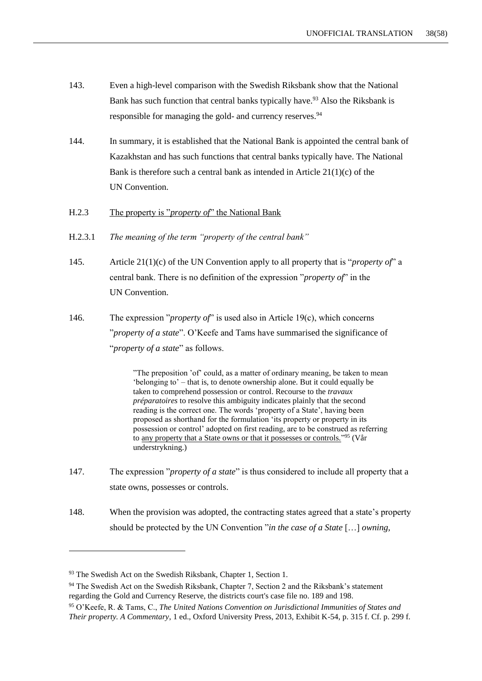- 143. Even a high-level comparison with the Swedish Riksbank show that the National Bank has such function that central banks typically have.<sup>93</sup> Also the Riksbank is responsible for managing the gold- and currency reserves.<sup>94</sup>
- 144. In summary, it is established that the National Bank is appointed the central bank of Kazakhstan and has such functions that central banks typically have. The National Bank is therefore such a central bank as intended in Article  $21(1)(c)$  of the UN Convention.
- H.2.3 The property is "*property of*" the National Bank
- H.2.3.1 *The meaning of the term "property of the central bank"*
- 145. Article 21(1)(c) of the UN Convention apply to all property that is "*property of*" a central bank. There is no definition of the expression "*property of*" in the UN Convention.
- 146. The expression "*property of*" is used also in Article 19(c), which concerns "*property of a state*". O'Keefe and Tams have summarised the significance of "*property of a state*" as follows.

"The preposition 'of' could, as a matter of ordinary meaning, be taken to mean 'belonging to' – that is, to denote ownership alone. But it could equally be taken to comprehend possession or control. Recourse to the *travaux préparatoires* to resolve this ambiguity indicates plainly that the second reading is the correct one. The words 'property of a State', having been proposed as shorthand for the formulation 'its property or property in its possession or control' adopted on first reading, are to be construed as referring to <u>any property that a State owns or that it possesses or controls.</u>"<sup>95</sup> (Vår understrykning.)

- 147. The expression "*property of a state*" is thus considered to include all property that a state owns, possesses or controls.
- 148. When the provision was adopted, the contracting states agreed that a state's property should be protected by the UN Convention "*in the case of a State* […] *owning,*

<sup>&</sup>lt;sup>93</sup> The Swedish Act on the Swedish Riksbank, Chapter 1, Section 1.

<sup>&</sup>lt;sup>94</sup> The Swedish Act on the Swedish Riksbank, Chapter 7, Section 2 and the Riksbank's statement regarding the Gold and Currency Reserve, the districts court's case file no. 189 and 198.

<sup>95</sup> O'Keefe, R. & Tams, C., *The United Nations Convention on Jurisdictional Immunities of States and Their property. A Commentary*, 1 ed., Oxford University Press, 2013, Exhibit K-54, p. 315 f. Cf. p. 299 f.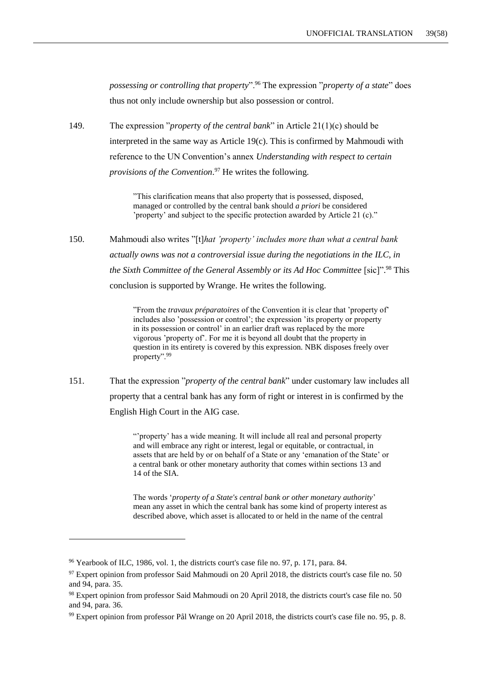*possessing or controlling that property*".<sup>96</sup> The expression "*property of a state*" does thus not only include ownership but also possession or control.

149. The expression "*propert*y *of the central bank*" in Article 21(1)(c) should be interpreted in the same way as Article 19(c). This is confirmed by Mahmoudi with reference to the UN Convention's annex *Understanding with respect to certain provisions of the Convention*. <sup>97</sup> He writes the following.

> "This clarification means that also property that is possessed, disposed, managed or controlled by the central bank should *a priori* be considered 'property' and subject to the specific protection awarded by Article 21 (c)."

150. Mahmoudi also writes "[t]*hat 'property' includes more than what a central bank actually owns was not a controversial issue during the negotiations in the ILC, in the Sixth Committee of the General Assembly or its Ad Hoc Committee* [sic]". <sup>98</sup> This conclusion is supported by Wrange. He writes the following.

> "From the *travaux préparatoires* of the Convention it is clear that 'property of' includes also 'possession or control'; the expression 'its property or property in its possession or control' in an earlier draft was replaced by the more vigorous 'property of'. For me it is beyond all doubt that the property in question in its entirety is covered by this expression. NBK disposes freely over property".<sup>99</sup>

151. That the expression "*property of the central bank*" under customary law includes all property that a central bank has any form of right or interest in is confirmed by the English High Court in the AIG case.

> "'property' has a wide meaning. It will include all real and personal property and will embrace any right or interest, legal or equitable, or contractual, in assets that are held by or on behalf of a State or any 'emanation of the State' or a central bank or other monetary authority that comes within sections 13 and 14 of the SIA.

The words '*property of a State's central bank or other monetary authority*' mean any asset in which the central bank has some kind of property interest as described above, which asset is allocated to or held in the name of the central

<sup>96</sup> Yearbook of ILC, 1986, vol. 1, the districts court's case file no. 97, p. 171, para. 84.

<sup>&</sup>lt;sup>97</sup> Expert opinion from professor Said Mahmoudi on 20 April 2018, the districts court's case file no. 50 and 94, para. 35.

<sup>98</sup> Expert opinion from professor Said Mahmoudi on 20 April 2018, the districts court's case file no. 50 and 94, para. 36.

<sup>99</sup> Expert opinion from professor Pål Wrange on 20 April 2018, the districts court's case file no. 95, p. 8.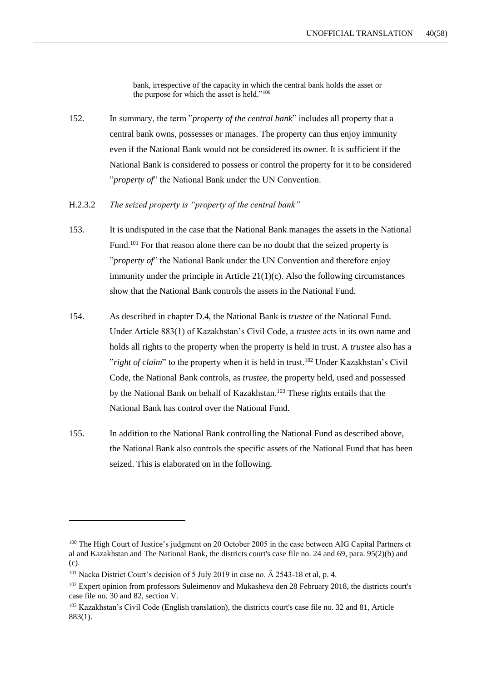bank, irrespective of the capacity in which the central bank holds the asset or the purpose for which the asset is held."<sup>100</sup>

- 152. In summary, the term "*property of the central bank*" includes all property that a central bank owns, possesses or manages. The property can thus enjoy immunity even if the National Bank would not be considered its owner. It is sufficient if the National Bank is considered to possess or control the property for it to be considered "*property of*" the National Bank under the UN Convention.
- H.2.3.2 *The seized property is "property of the central bank"*
- 153. It is undisputed in the case that the National Bank manages the assets in the National Fund.<sup>101</sup> For that reason alone there can be no doubt that the seized property is "*property of*" the National Bank under the UN Convention and therefore enjoy immunity under the principle in Article 21(1)(c). Also the following circumstances show that the National Bank controls the assets in the National Fund.
- 154. As described in chapter D.4, the National Bank is *trustee* of the National Fund. Under Article 883(1) of Kazakhstan's Civil Code, a *trustee* acts in its own name and holds all rights to the property when the property is held in trust. A *trustee* also has a "*right of claim*" to the property when it is held in trust.<sup>102</sup> Under Kazakhstan's Civil Code, the National Bank controls, as *trustee*, the property held, used and possessed by the National Bank on behalf of Kazakhstan.<sup>103</sup> These rights entails that the National Bank has control over the National Fund.
- 155. In addition to the National Bank controlling the National Fund as described above, the National Bank also controls the specific assets of the National Fund that has been seized. This is elaborated on in the following.

<sup>&</sup>lt;sup>100</sup> The High Court of Justice's judgment on 20 October 2005 in the case between AIG Capital Partners et al and Kazakhstan and The National Bank, the districts court's case file no. 24 and 69, para. 95(2)(b) and (c).

<sup>101</sup> Nacka District Court's decision of 5 July 2019 in case no. Ä 2543-18 et al, p. 4.

<sup>&</sup>lt;sup>102</sup> Expert opinion from professors Suleimenov and Mukasheva den 28 February 2018, the districts court's case file no. 30 and 82, section V.

<sup>103</sup> Kazakhstan's Civil Code (English translation), the districts court's case file no. 32 and 81, Article 883(1).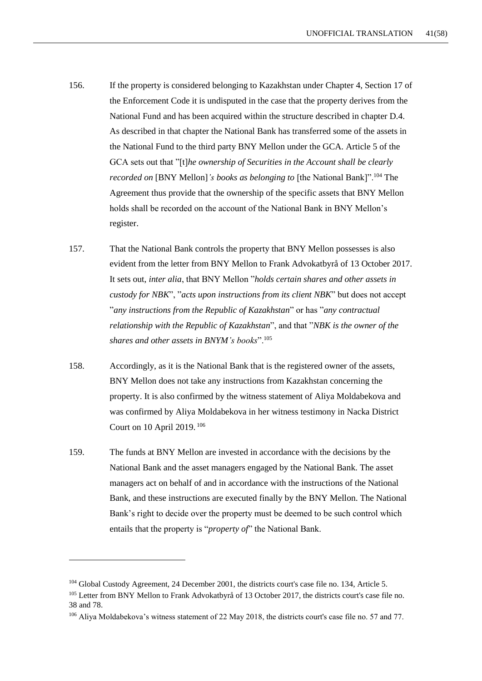- 156. If the property is considered belonging to Kazakhstan under Chapter 4, Section 17 of the Enforcement Code it is undisputed in the case that the property derives from the National Fund and has been acquired within the structure described in chapter D.4. As described in that chapter the National Bank has transferred some of the assets in the National Fund to the third party BNY Mellon under the GCA. Article 5 of the GCA sets out that "[t]*he ownership of Securities in the Account shall be clearly recorded on* [BNY Mellon]*'s books as belonging to* [the National Bank]".<sup>104</sup> The Agreement thus provide that the ownership of the specific assets that BNY Mellon holds shall be recorded on the account of the National Bank in BNY Mellon's register.
- 157. That the National Bank controls the property that BNY Mellon possesses is also evident from the letter from BNY Mellon to Frank Advokatbyrå of 13 October 2017. It sets out, *inter alia*, that BNY Mellon "*holds certain shares and other assets in custody for NBK*", "*acts upon instructions from its client NBK*" but does not accept "*any instructions from the Republic of Kazakhstan*" or has "*any contractual relationship with the Republic of Kazakhstan*", and that "*NBK is the owner of the shares and other assets in BNYM's books*".<sup>105</sup>
- 158. Accordingly, as it is the National Bank that is the registered owner of the assets, BNY Mellon does not take any instructions from Kazakhstan concerning the property. It is also confirmed by the witness statement of Aliya Moldabekova and was confirmed by Aliya Moldabekova in her witness testimony in Nacka District Court on 10 April 2019. <sup>106</sup>
- 159. The funds at BNY Mellon are invested in accordance with the decisions by the National Bank and the asset managers engaged by the National Bank. The asset managers act on behalf of and in accordance with the instructions of the National Bank, and these instructions are executed finally by the BNY Mellon. The National Bank's right to decide over the property must be deemed to be such control which entails that the property is "*property of*" the National Bank.

<sup>104</sup> Global Custody Agreement, 24 December 2001, the districts court's case file no. 134, Article 5.

<sup>&</sup>lt;sup>105</sup> Letter from BNY Mellon to Frank Advokatbyrå of 13 October 2017, the districts court's case file no. 38 and 78.

<sup>106</sup> Aliya Moldabekova's witness statement of 22 May 2018, the districts court's case file no. 57 and 77.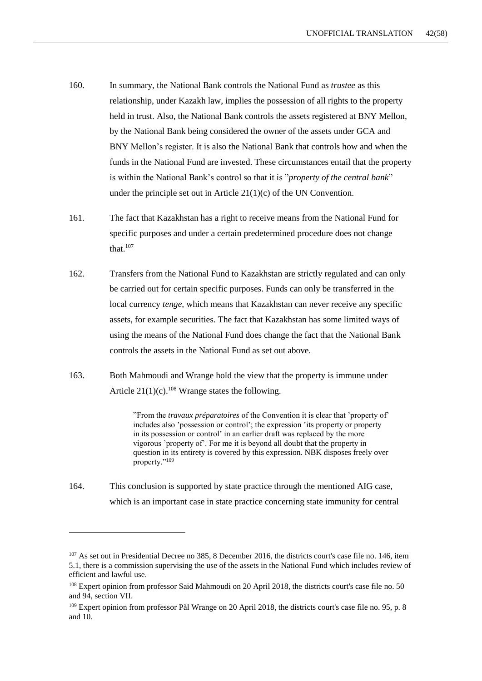- 160. In summary, the National Bank controls the National Fund as *trustee* as this relationship, under Kazakh law, implies the possession of all rights to the property held in trust. Also, the National Bank controls the assets registered at BNY Mellon, by the National Bank being considered the owner of the assets under GCA and BNY Mellon's register. It is also the National Bank that controls how and when the funds in the National Fund are invested. These circumstances entail that the property is within the National Bank's control so that it is "*property of the central bank*" under the principle set out in Article  $21(1)(c)$  of the UN Convention.
- 161. The fact that Kazakhstan has a right to receive means from the National Fund for specific purposes and under a certain predetermined procedure does not change that 107
- 162. Transfers from the National Fund to Kazakhstan are strictly regulated and can only be carried out for certain specific purposes. Funds can only be transferred in the local currency *tenge,* which means that Kazakhstan can never receive any specific assets, for example securities. The fact that Kazakhstan has some limited ways of using the means of the National Fund does change the fact that the National Bank controls the assets in the National Fund as set out above.
- 163. Both Mahmoudi and Wrange hold the view that the property is immune under Article  $21(1)(c)$ .<sup>108</sup> Wrange states the following.

"From the *travaux préparatoires* of the Convention it is clear that 'property of' includes also 'possession or control'; the expression 'its property or property in its possession or control' in an earlier draft was replaced by the more vigorous 'property of'. For me it is beyond all doubt that the property in question in its entirety is covered by this expression. NBK disposes freely over property."<sup>109</sup>

164. This conclusion is supported by state practice through the mentioned AIG case, which is an important case in state practice concerning state immunity for central

<sup>&</sup>lt;sup>107</sup> As set out in Presidential Decree no 385, 8 December 2016, the districts court's case file no. 146, item 5.1, there is a commission supervising the use of the assets in the National Fund which includes review of efficient and lawful use.

<sup>108</sup> Expert opinion from professor Said Mahmoudi on 20 April 2018, the districts court's case file no. 50 and 94, section VII.

<sup>&</sup>lt;sup>109</sup> Expert opinion from professor Pål Wrange on 20 April 2018, the districts court's case file no. 95, p. 8 and 10.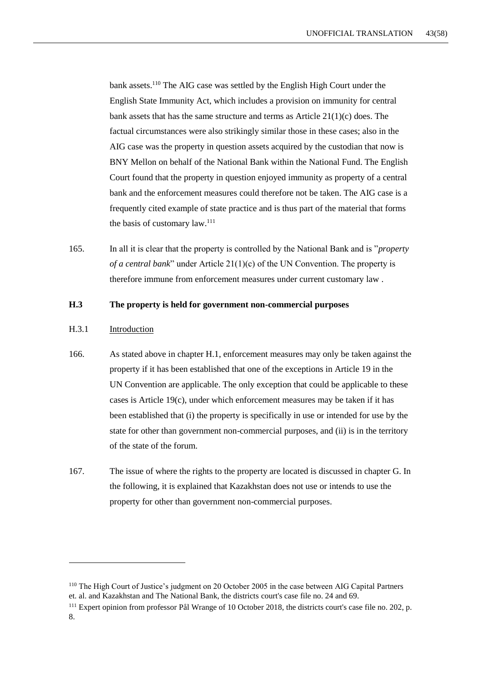bank assets.<sup>110</sup> The AIG case was settled by the English High Court under the English State Immunity Act, which includes a provision on immunity for central bank assets that has the same structure and terms as Article 21(1)(c) does. The factual circumstances were also strikingly similar those in these cases; also in the AIG case was the property in question assets acquired by the custodian that now is BNY Mellon on behalf of the National Bank within the National Fund. The English Court found that the property in question enjoyed immunity as property of a central bank and the enforcement measures could therefore not be taken. The AIG case is a frequently cited example of state practice and is thus part of the material that forms the basis of customary  $law.<sup>111</sup>$ 

165. In all it is clear that the property is controlled by the National Bank and is "*property of a central bank*" under Article 21(1)(c) of the UN Convention. The property is therefore immune from enforcement measures under current customary law .

### <span id="page-42-0"></span>**H.3 The property is held for government non-commercial purposes**

#### H.3.1 Introduction

- 166. As stated above in chapter H.1, enforcement measures may only be taken against the property if it has been established that one of the exceptions in Article 19 in the UN Convention are applicable. The only exception that could be applicable to these cases is Article 19(c), under which enforcement measures may be taken if it has been established that (i) the property is specifically in use or intended for use by the state for other than government non-commercial purposes, and (ii) is in the territory of the state of the forum.
- 167. The issue of where the rights to the property are located is discussed in chapter G. In the following, it is explained that Kazakhstan does not use or intends to use the property for other than government non-commercial purposes.

<sup>110</sup> The High Court of Justice's judgment on 20 October 2005 in the case between AIG Capital Partners et. al. and Kazakhstan and The National Bank, the districts court's case file no. 24 and 69.

<sup>111</sup> Expert opinion from professor Pål Wrange of 10 October 2018, the districts court's case file no. 202, p. 8.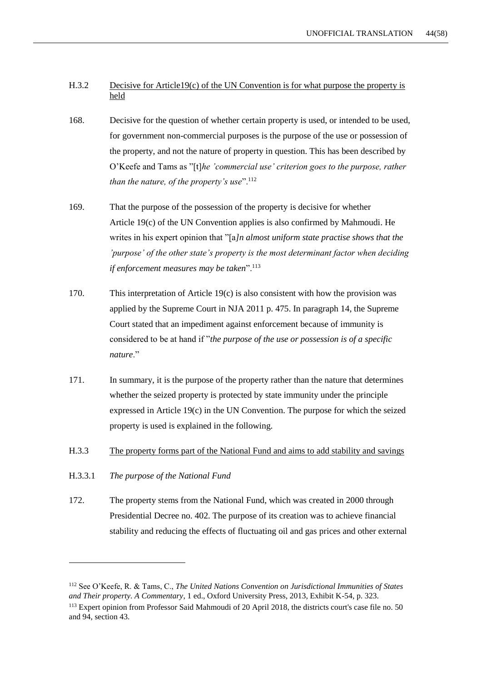### H.3.2 Decisive for Article19(c) of the UN Convention is for what purpose the property is held

- 168. Decisive for the question of whether certain property is used, or intended to be used, for government non-commercial purposes is the purpose of the use or possession of the property, and not the nature of property in question. This has been described by O'Keefe and Tams as "[t]*he 'commercial use' criterion goes to the purpose, rather than the nature, of the property's use*".<sup>112</sup>
- 169. That the purpose of the possession of the property is decisive for whether Article 19(c) of the UN Convention applies is also confirmed by Mahmoudi. He writes in his expert opinion that "[a*]n almost uniform state practise shows that the 'purpose' of the other state's property is the most determinant factor when deciding if enforcement measures may be taken*".<sup>113</sup>
- 170. This interpretation of Article 19(c) is also consistent with how the provision was applied by the Supreme Court in NJA 2011 p. 475. In paragraph 14, the Supreme Court stated that an impediment against enforcement because of immunity is considered to be at hand if "*the purpose of the use or possession is of a specific nature*."
- 171. In summary, it is the purpose of the property rather than the nature that determines whether the seized property is protected by state immunity under the principle expressed in Article 19(c) in the UN Convention. The purpose for which the seized property is used is explained in the following.
- H.3.3 The property forms part of the National Fund and aims to add stability and savings
- H.3.3.1 *The purpose of the National Fund*

-

172. The property stems from the National Fund, which was created in 2000 through Presidential Decree no. 402. The purpose of its creation was to achieve financial stability and reducing the effects of fluctuating oil and gas prices and other external

<sup>112</sup> See O'Keefe, R. & Tams, C., *The United Nations Convention on Jurisdictional Immunities of States and Their property. A Commentary*, 1 ed., Oxford University Press, 2013, Exhibit K-54, p. 323.

<sup>113</sup> Expert opinion from Professor Said Mahmoudi of 20 April 2018, the districts court's case file no. 50 and 94, section 43.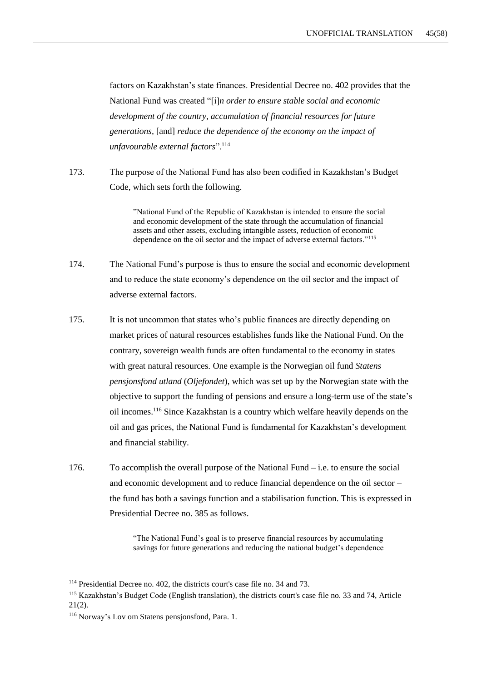factors on Kazakhstan's state finances. Presidential Decree no. 402 provides that the National Fund was created "[i]*n order to ensure stable social and economic development of the country, accumulation of financial resources for future generations,* [and] *reduce the dependence of the economy on the impact of unfavourable external factors*".<sup>114</sup>

173. The purpose of the National Fund has also been codified in Kazakhstan's Budget Code, which sets forth the following.

> "National Fund of the Republic of Kazakhstan is intended to ensure the social and economic development of the state through the accumulation of financial assets and other assets, excluding intangible assets, reduction of economic dependence on the oil sector and the impact of adverse external factors."<sup>115</sup>

- 174. The National Fund's purpose is thus to ensure the social and economic development and to reduce the state economy's dependence on the oil sector and the impact of adverse external factors.
- 175. It is not uncommon that states who's public finances are directly depending on market prices of natural resources establishes funds like the National Fund. On the contrary, sovereign wealth funds are often fundamental to the economy in states with great natural resources. One example is the Norwegian oil fund *Statens pensjonsfond utland* (*Oljefondet*), which was set up by the Norwegian state with the objective to support the funding of pensions and ensure a long-term use of the state's oil incomes.<sup>116</sup> Since Kazakhstan is a country which welfare heavily depends on the oil and gas prices, the National Fund is fundamental for Kazakhstan's development and financial stability.
- 176. To accomplish the overall purpose of the National Fund  $-$  i.e. to ensure the social and economic development and to reduce financial dependence on the oil sector – the fund has both a savings function and a stabilisation function. This is expressed in Presidential Decree no. 385 as follows.

"The National Fund's goal is to preserve financial resources by accumulating savings for future generations and reducing the national budget's dependence

<sup>114</sup> Presidential Decree no. 402, the districts court's case file no. 34 and 73.

<sup>115</sup> Kazakhstan's Budget Code (English translation), the districts court's case file no. 33 and 74, Article 21(2).

<sup>116</sup> Norway's Lov om Statens pensjonsfond, Para. 1.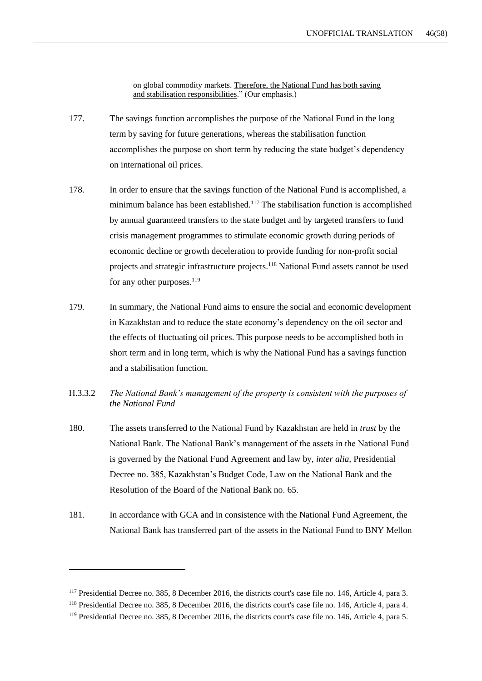on global commodity markets. Therefore, the National Fund has both saving and stabilisation responsibilities." (Our emphasis.)

- 177. The savings function accomplishes the purpose of the National Fund in the long term by saving for future generations, whereas the stabilisation function accomplishes the purpose on short term by reducing the state budget's dependency on international oil prices.
- 178. In order to ensure that the savings function of the National Fund is accomplished, a minimum balance has been established.<sup>117</sup> The stabilisation function is accomplished by annual guaranteed transfers to the state budget and by targeted transfers to fund crisis management programmes to stimulate economic growth during periods of economic decline or growth deceleration to provide funding for non-profit social projects and strategic infrastructure projects.<sup>118</sup> National Fund assets cannot be used for any other purposes. $^{119}$
- 179. In summary, the National Fund aims to ensure the social and economic development in Kazakhstan and to reduce the state economy's dependency on the oil sector and the effects of fluctuating oil prices. This purpose needs to be accomplished both in short term and in long term, which is why the National Fund has a savings function and a stabilisation function.
- H.3.3.2 *The National Bank's management of the property is consistent with the purposes of the National Fund*
- 180. The assets transferred to the National Fund by Kazakhstan are held in *trust* by the National Bank. The National Bank's management of the assets in the National Fund is governed by the National Fund Agreement and law by, *inter alia,* Presidential Decree no. 385, Kazakhstan's Budget Code, Law on the National Bank and the Resolution of the Board of the National Bank no. 65.
- 181. In accordance with GCA and in consistence with the National Fund Agreement, the National Bank has transferred part of the assets in the National Fund to BNY Mellon

<sup>&</sup>lt;sup>117</sup> Presidential Decree no. 385, 8 December 2016, the districts court's case file no. 146, Article 4, para 3.

<sup>118</sup> Presidential Decree no. 385, 8 December 2016, the districts court's case file no. 146, Article 4, para 4.

<sup>&</sup>lt;sup>119</sup> Presidential Decree no. 385, 8 December 2016, the districts court's case file no. 146, Article 4, para 5.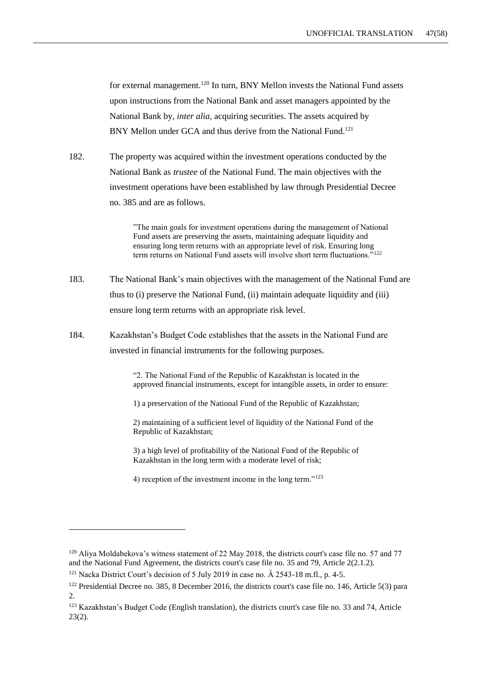for external management.<sup>120</sup> In turn, BNY Mellon invests the National Fund assets upon instructions from the National Bank and asset managers appointed by the National Bank by, *inter alia*, acquiring securities. The assets acquired by BNY Mellon under GCA and thus derive from the National Fund.<sup>121</sup>

182. The property was acquired within the investment operations conducted by the National Bank as *trustee* of the National Fund. The main objectives with the investment operations have been established by law through Presidential Decree no. 385 and are as follows.

> "The main goals for investment operations during the management of National Fund assets are preserving the assets, maintaining adequate liquidity and ensuring long term returns with an appropriate level of risk. Ensuring long term returns on National Fund assets will involve short term fluctuations."<sup>122</sup>

- 183. The National Bank's main objectives with the management of the National Fund are thus to (i) preserve the National Fund, (ii) maintain adequate liquidity and (iii) ensure long term returns with an appropriate risk level.
- 184. Kazakhstan's Budget Code establishes that the assets in the National Fund are invested in financial instruments for the following purposes.

"2. The National Fund of the Republic of Kazakhstan is located in the approved financial instruments, except for intangible assets, in order to ensure:

1) a preservation of the National Fund of the Republic of Kazakhstan;

2) maintaining of a sufficient level of liquidity of the National Fund of the Republic of Kazakhstan;

3) a high level of profitability of the National Fund of the Republic of Kazakhstan in the long term with a moderate level of risk;

4) reception of the investment income in the long term."<sup>123</sup>

 $120$  Aliya Moldabekova's witness statement of 22 May 2018, the districts court's case file no. 57 and 77 and the National Fund Agreement, the districts court's case file no. 35 and 79, Article 2(2.1.2).

<sup>&</sup>lt;sup>121</sup> Nacka District Court's decision of 5 July 2019 in case no. Ä 2543-18 m.fl., p. 4-5.

<sup>&</sup>lt;sup>122</sup> Presidential Decree no. 385, 8 December 2016, the districts court's case file no. 146, Article 5(3) para 2.

<sup>123</sup> Kazakhstan's Budget Code (English translation), the districts court's case file no. 33 and 74, Article 23(2).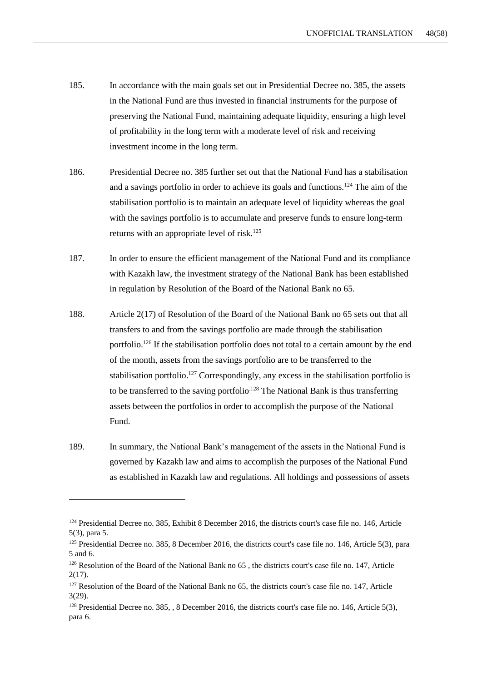- 185. In accordance with the main goals set out in Presidential Decree no. 385, the assets in the National Fund are thus invested in financial instruments for the purpose of preserving the National Fund, maintaining adequate liquidity, ensuring a high level of profitability in the long term with a moderate level of risk and receiving investment income in the long term.
- 186. Presidential Decree no. 385 further set out that the National Fund has a stabilisation and a savings portfolio in order to achieve its goals and functions.<sup>124</sup> The aim of the stabilisation portfolio is to maintain an adequate level of liquidity whereas the goal with the savings portfolio is to accumulate and preserve funds to ensure long-term returns with an appropriate level of risk.<sup>125</sup>
- 187. In order to ensure the efficient management of the National Fund and its compliance with Kazakh law, the investment strategy of the National Bank has been established in regulation by Resolution of the Board of the National Bank no 65.
- 188. Article 2(17) of Resolution of the Board of the National Bank no 65 sets out that all transfers to and from the savings portfolio are made through the stabilisation portfolio.<sup>126</sup> If the stabilisation portfolio does not total to a certain amount by the end of the month, assets from the savings portfolio are to be transferred to the stabilisation portfolio.<sup>127</sup> Correspondingly, any excess in the stabilisation portfolio is to be transferred to the saving portfolio<sup> $128$ </sup> The National Bank is thus transferring assets between the portfolios in order to accomplish the purpose of the National Fund.
- 189. In summary, the National Bank's management of the assets in the National Fund is governed by Kazakh law and aims to accomplish the purposes of the National Fund as established in Kazakh law and regulations. All holdings and possessions of assets

<sup>&</sup>lt;sup>124</sup> Presidential Decree no. 385, Exhibit 8 December 2016, the districts court's case file no. 146, Article 5(3), para 5.

<sup>&</sup>lt;sup>125</sup> Presidential Decree no. 385, 8 December 2016, the districts court's case file no. 146, Article 5(3), para 5 and 6.

<sup>&</sup>lt;sup>126</sup> Resolution of the Board of the National Bank no 65, the districts court's case file no. 147, Article 2(17).

<sup>&</sup>lt;sup>127</sup> Resolution of the Board of the National Bank no 65, the districts court's case file no. 147, Article 3(29).

<sup>&</sup>lt;sup>128</sup> Presidential Decree no. 385, , 8 December 2016, the districts court's case file no. 146, Article 5(3), para 6.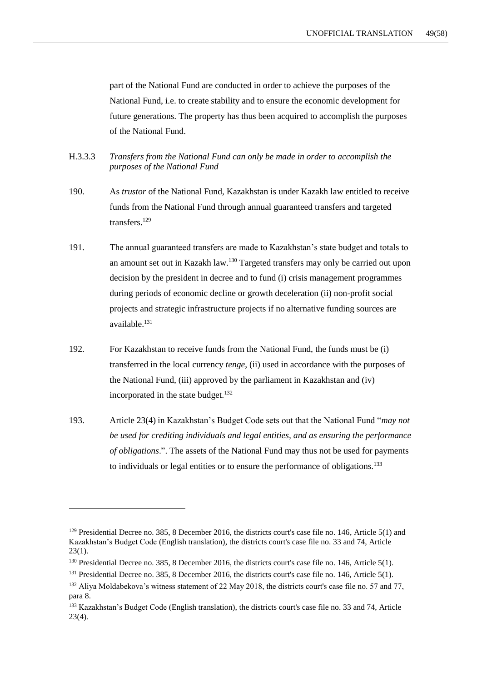part of the National Fund are conducted in order to achieve the purposes of the National Fund, i.e. to create stability and to ensure the economic development for future generations. The property has thus been acquired to accomplish the purposes of the National Fund.

- H.3.3.3 *Transfers from the National Fund can only be made in order to accomplish the purposes of the National Fund*
- 190. As *trustor* of the National Fund, Kazakhstan is under Kazakh law entitled to receive funds from the National Fund through annual guaranteed transfers and targeted transfers.<sup>129</sup>
- 191. The annual guaranteed transfers are made to Kazakhstan's state budget and totals to an amount set out in Kazakh law.<sup>130</sup> Targeted transfers may only be carried out upon decision by the president in decree and to fund (i) crisis management programmes during periods of economic decline or growth deceleration (ii) non-profit social projects and strategic infrastructure projects if no alternative funding sources are available.<sup>131</sup>
- 192. For Kazakhstan to receive funds from the National Fund, the funds must be (i) transferred in the local currency *tenge*, (ii) used in accordance with the purposes of the National Fund, (iii) approved by the parliament in Kazakhstan and (iv) incorporated in the state budget.<sup>132</sup>
- 193. Article 23(4) in Kazakhstan's Budget Code sets out that the National Fund "*may not be used for crediting individuals and legal entities, and as ensuring the performance of obligations*.". The assets of the National Fund may thus not be used for payments to individuals or legal entities or to ensure the performance of obligations.<sup>133</sup>

<sup>&</sup>lt;sup>129</sup> Presidential Decree no. 385, 8 December 2016, the districts court's case file no. 146, Article 5(1) and Kazakhstan's Budget Code (English translation), the districts court's case file no. 33 and 74, Article  $23(1)$ .

<sup>&</sup>lt;sup>130</sup> Presidential Decree no. 385, 8 December 2016, the districts court's case file no. 146, Article 5(1).

<sup>&</sup>lt;sup>131</sup> Presidential Decree no. 385, 8 December 2016, the districts court's case file no. 146, Article 5(1).

<sup>132</sup> Aliya Moldabekova's witness statement of 22 May 2018, the districts court's case file no. 57 and 77, para 8.

<sup>133</sup> Kazakhstan's Budget Code (English translation), the districts court's case file no. 33 and 74, Article 23(4).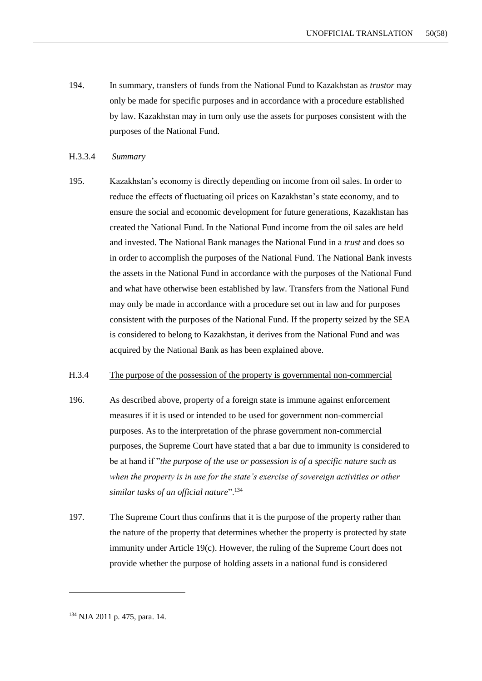- 194. In summary, transfers of funds from the National Fund to Kazakhstan as *trustor* may only be made for specific purposes and in accordance with a procedure established by law. Kazakhstan may in turn only use the assets for purposes consistent with the purposes of the National Fund.
- H.3.3.4 *Summary*
- 195. Kazakhstan's economy is directly depending on income from oil sales. In order to reduce the effects of fluctuating oil prices on Kazakhstan's state economy, and to ensure the social and economic development for future generations, Kazakhstan has created the National Fund. In the National Fund income from the oil sales are held and invested. The National Bank manages the National Fund in a *trust* and does so in order to accomplish the purposes of the National Fund. The National Bank invests the assets in the National Fund in accordance with the purposes of the National Fund and what have otherwise been established by law. Transfers from the National Fund may only be made in accordance with a procedure set out in law and for purposes consistent with the purposes of the National Fund. If the property seized by the SEA is considered to belong to Kazakhstan, it derives from the National Fund and was acquired by the National Bank as has been explained above.

#### H.3.4 The purpose of the possession of the property is governmental non-commercial

- 196. As described above, property of a foreign state is immune against enforcement measures if it is used or intended to be used for government non-commercial purposes. As to the interpretation of the phrase government non-commercial purposes, the Supreme Court have stated that a bar due to immunity is considered to be at hand if "*the purpose of the use or possession is of a specific nature such as when the property is in use for the state's exercise of sovereign activities or other similar tasks of an official nature*".<sup>134</sup>
- 197. The Supreme Court thus confirms that it is the purpose of the property rather than the nature of the property that determines whether the property is protected by state immunity under Article 19(c). However, the ruling of the Supreme Court does not provide whether the purpose of holding assets in a national fund is considered

<sup>134</sup> NJA 2011 p. 475, para. 14.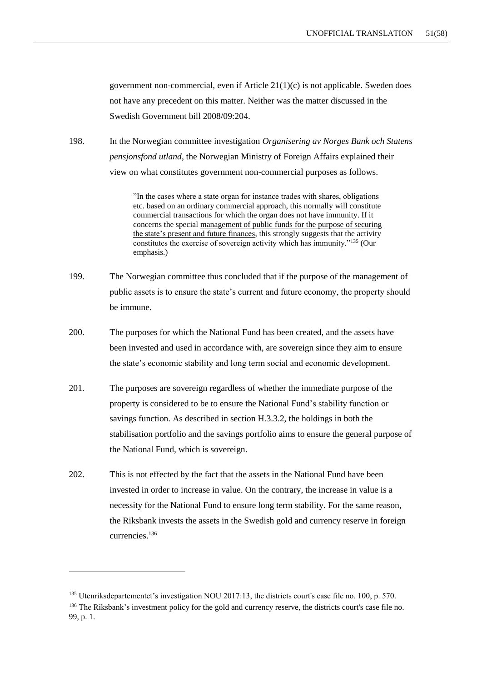government non-commercial, even if Article  $21(1)(c)$  is not applicable. Sweden does not have any precedent on this matter. Neither was the matter discussed in the Swedish Government bill 2008/09:204.

198. In the Norwegian committee investigation *Organisering av Norges Bank och Statens pensjonsfond utland*, the Norwegian Ministry of Foreign Affairs explained their view on what constitutes government non-commercial purposes as follows.

> "In the cases where a state organ for instance trades with shares, obligations etc. based on an ordinary commercial approach, this normally will constitute commercial transactions for which the organ does not have immunity. If it concerns the special management of public funds for the purpose of securing the state's present and future finances, this strongly suggests that the activity constitutes the exercise of sovereign activity which has immunity."<sup>135</sup> (Our emphasis.)

- 199. The Norwegian committee thus concluded that if the purpose of the management of public assets is to ensure the state's current and future economy, the property should be immune.
- 200. The purposes for which the National Fund has been created, and the assets have been invested and used in accordance with, are sovereign since they aim to ensure the state's economic stability and long term social and economic development.
- 201. The purposes are sovereign regardless of whether the immediate purpose of the property is considered to be to ensure the National Fund's stability function or savings function. As described in section H.3.3.2, the holdings in both the stabilisation portfolio and the savings portfolio aims to ensure the general purpose of the National Fund, which is sovereign.
- 202. This is not effected by the fact that the assets in the National Fund have been invested in order to increase in value. On the contrary, the increase in value is a necessity for the National Fund to ensure long term stability. For the same reason, the Riksbank invests the assets in the Swedish gold and currency reserve in foreign currencies.<sup>136</sup>

<sup>&</sup>lt;sup>135</sup> Utenriksdepartementet's investigation NOU 2017:13, the districts court's case file no. 100, p. 570.

<sup>&</sup>lt;sup>136</sup> The Riksbank's investment policy for the gold and currency reserve, the districts court's case file no. 99, p. 1.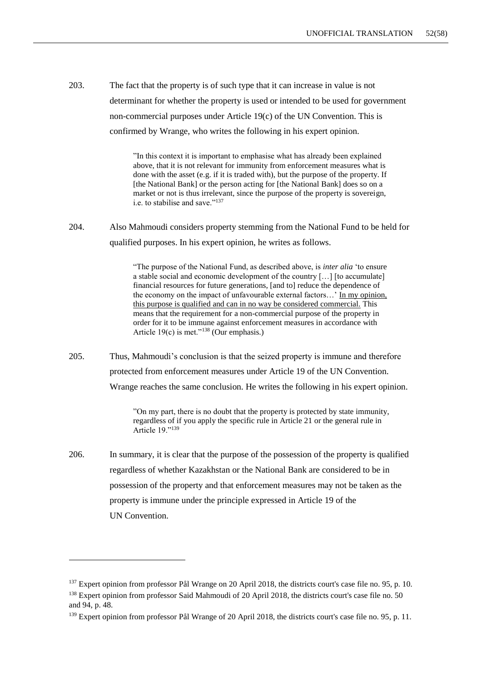203. The fact that the property is of such type that it can increase in value is not determinant for whether the property is used or intended to be used for government non-commercial purposes under Article 19(c) of the UN Convention. This is confirmed by Wrange, who writes the following in his expert opinion.

> "In this context it is important to emphasise what has already been explained above, that it is not relevant for immunity from enforcement measures what is done with the asset (e.g. if it is traded with), but the purpose of the property. If [the National Bank] or the person acting for [the National Bank] does so on a market or not is thus irrelevant, since the purpose of the property is sovereign, i.e. to stabilise and save."<sup>137</sup>

204. Also Mahmoudi considers property stemming from the National Fund to be held for qualified purposes. In his expert opinion, he writes as follows.

> "The purpose of the National Fund, as described above, is *inter alia* 'to ensure a stable social and economic development of the country […] [to accumulate] financial resources for future generations, [and to] reduce the dependence of the economy on the impact of unfavourable external factors…' In my opinion, this purpose is qualified and can in no way be considered commercial. This means that the requirement for a non-commercial purpose of the property in order for it to be immune against enforcement measures in accordance with Article 19 $(c)$  is met."<sup>138</sup> (Our emphasis.)

205. Thus, Mahmoudi's conclusion is that the seized property is immune and therefore protected from enforcement measures under Article 19 of the UN Convention. Wrange reaches the same conclusion. He writes the following in his expert opinion.

> "On my part, there is no doubt that the property is protected by state immunity, regardless of if you apply the specific rule in Article 21 or the general rule in Article 19."<sup>139</sup>

206. In summary, it is clear that the purpose of the possession of the property is qualified regardless of whether Kazakhstan or the National Bank are considered to be in possession of the property and that enforcement measures may not be taken as the property is immune under the principle expressed in Article 19 of the UN Convention.

<sup>&</sup>lt;sup>137</sup> Expert opinion from professor Pål Wrange on 20 April 2018, the districts court's case file no. 95, p. 10.

<sup>&</sup>lt;sup>138</sup> Expert opinion from professor Said Mahmoudi of 20 April 2018, the districts court's case file no. 50 and 94, p. 48.

<sup>&</sup>lt;sup>139</sup> Expert opinion from professor Pål Wrange of 20 April 2018, the districts court's case file no. 95, p. 11.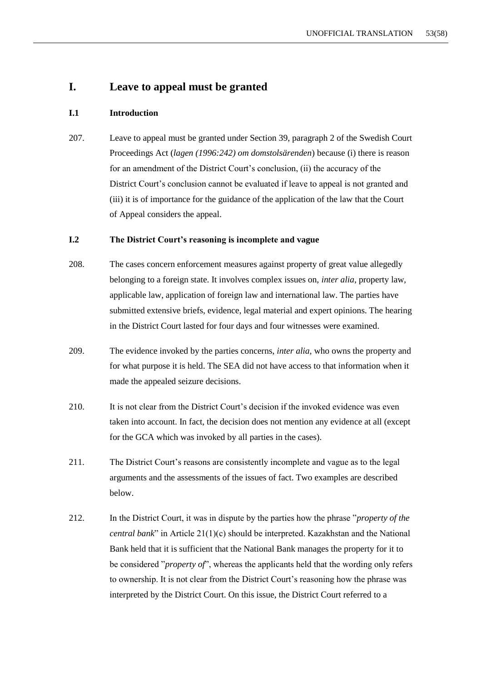## **I. Leave to appeal must be granted**

#### **I.1 Introduction**

207. Leave to appeal must be granted under Section 39, paragraph 2 of the Swedish Court Proceedings Act (*lagen (1996:242) om domstolsärenden*) because (i) there is reason for an amendment of the District Court's conclusion, (ii) the accuracy of the District Court's conclusion cannot be evaluated if leave to appeal is not granted and (iii) it is of importance for the guidance of the application of the law that the Court of Appeal considers the appeal.

## **I.2 The District Court's reasoning is incomplete and vague**

- 208. The cases concern enforcement measures against property of great value allegedly belonging to a foreign state. It involves complex issues on, *inter alia*, property law, applicable law, application of foreign law and international law. The parties have submitted extensive briefs, evidence, legal material and expert opinions. The hearing in the District Court lasted for four days and four witnesses were examined.
- 209. The evidence invoked by the parties concerns, *inter alia,* who owns the property and for what purpose it is held. The SEA did not have access to that information when it made the appealed seizure decisions.
- 210. It is not clear from the District Court's decision if the invoked evidence was even taken into account. In fact, the decision does not mention any evidence at all (except for the GCA which was invoked by all parties in the cases).
- 211. The District Court's reasons are consistently incomplete and vague as to the legal arguments and the assessments of the issues of fact. Two examples are described below.
- 212. In the District Court, it was in dispute by the parties how the phrase "*property of the central bank*" in Article 21(1)(c) should be interpreted. Kazakhstan and the National Bank held that it is sufficient that the National Bank manages the property for it to be considered "*property of*", whereas the applicants held that the wording only refers to ownership. It is not clear from the District Court's reasoning how the phrase was interpreted by the District Court. On this issue, the District Court referred to a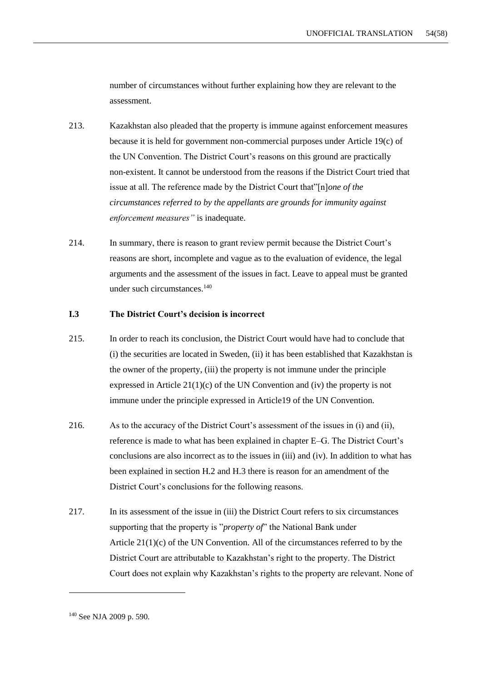number of circumstances without further explaining how they are relevant to the assessment.

- 213. Kazakhstan also pleaded that the property is immune against enforcement measures because it is held for government non-commercial purposes under Article 19(c) of the UN Convention. The District Court's reasons on this ground are practically non-existent. It cannot be understood from the reasons if the District Court tried that issue at all. The reference made by the District Court that"[n]*one of the circumstances referred to by the appellants are grounds for immunity against enforcement measures"* is inadequate.
- 214. In summary, there is reason to grant review permit because the District Court's reasons are short, incomplete and vague as to the evaluation of evidence, the legal arguments and the assessment of the issues in fact. Leave to appeal must be granted under such circumstances. $140$

#### **I.3 The District Court's decision is incorrect**

- 215. In order to reach its conclusion, the District Court would have had to conclude that (i) the securities are located in Sweden, (ii) it has been established that Kazakhstan is the owner of the property, (iii) the property is not immune under the principle expressed in Article  $21(1)(c)$  of the UN Convention and (iv) the property is not immune under the principle expressed in Article19 of the UN Convention.
- 216. As to the accuracy of the District Court's assessment of the issues in (i) and (ii), reference is made to what has been explained in chapter E–G. The District Court's conclusions are also incorrect as to the issues in (iii) and (iv). In addition to what has been explained in section H.2 and H.3 there is reason for an amendment of the District Court's conclusions for the following reasons.
- 217. In its assessment of the issue in (iii) the District Court refers to six circumstances supporting that the property is "*property of*" the National Bank under Article  $21(1)(c)$  of the UN Convention. All of the circumstances referred to by the District Court are attributable to Kazakhstan's right to the property. The District Court does not explain why Kazakhstan's rights to the property are relevant. None of

<sup>140</sup> See NJA 2009 p. 590.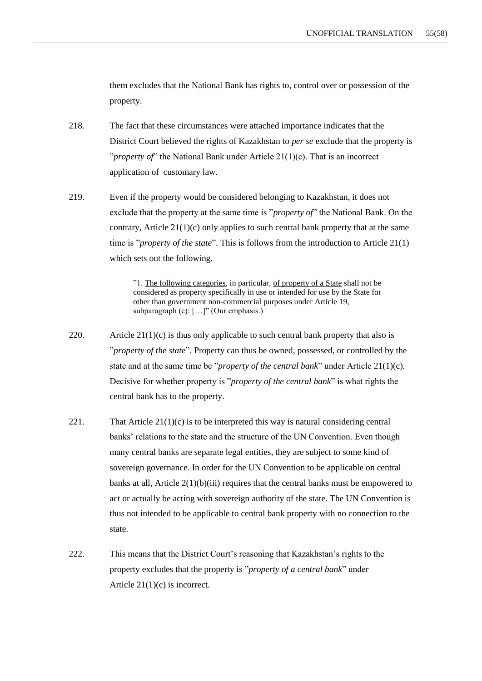them excludes that the National Bank has rights to, control over or possession of the property.

- 218. The fact that these circumstances were attached importance indicates that the District Court believed the rights of Kazakhstan to *per se* exclude that the property is "*property of*" the National Bank under Article 21(1)(c). That is an incorrect application of customary law.
- 219. Even if the property would be considered belonging to Kazakhstan, it does not exclude that the property at the same time is "*property of*" the National Bank. On the contrary, Article  $21(1)(c)$  only applies to such central bank property that at the same time is "*property of the state*". This is follows from the introduction to Article 21(1) which sets out the following.

"1. The following categories, in particular, of property of a State shall not be considered as property specifically in use or intended for use by the State for other than government non-commercial purposes under Article 19, subparagraph (c): [...]" (Our emphasis.)

- 220. Article  $21(1)(c)$  is thus only applicable to such central bank property that also is "*property of the state*". Property can thus be owned, possessed, or controlled by the state and at the same time be "*property of the central bank*" under Article 21(1)(c). Decisive for whether property is "*property of the central bank*" is what rights the central bank has to the property.
- 221. That Article  $21(1)(c)$  is to be interpreted this way is natural considering central banks' relations to the state and the structure of the UN Convention. Even though many central banks are separate legal entities, they are subject to some kind of sovereign governance. In order for the UN Convention to be applicable on central banks at all, Article 2(1)(b)(iii) requires that the central banks must be empowered to act or actually be acting with sovereign authority of the state. The UN Convention is thus not intended to be applicable to central bank property with no connection to the state.
- 222. This means that the District Court's reasoning that Kazakhstan's rights to the property excludes that the property is "*property of a central bank*" under Article 21(1)(c) is incorrect.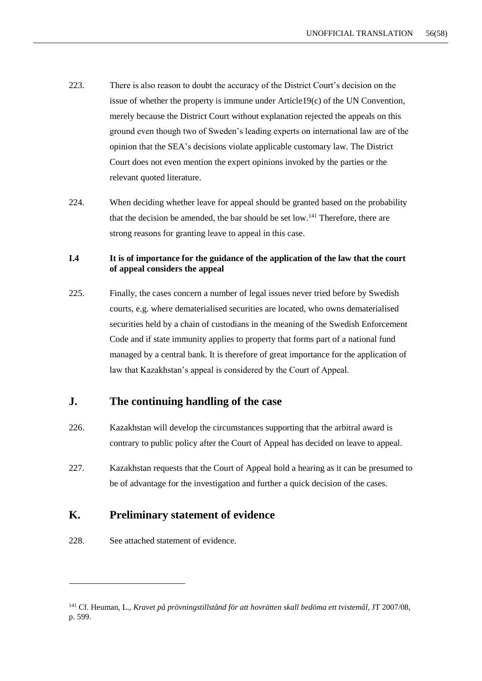- 223. There is also reason to doubt the accuracy of the District Court's decision on the issue of whether the property is immune under Article19(c) of the UN Convention, merely because the District Court without explanation rejected the appeals on this ground even though two of Sweden's leading experts on international law are of the opinion that the SEA's decisions violate applicable customary law. The District Court does not even mention the expert opinions invoked by the parties or the relevant quoted literature.
- 224. When deciding whether leave for appeal should be granted based on the probability that the decision be amended, the bar should be set low.<sup>141</sup> Therefore, there are strong reasons for granting leave to appeal in this case.

## **I.4 It is of importance for the guidance of the application of the law that the court of appeal considers the appeal**

225. Finally, the cases concern a number of legal issues never tried before by Swedish courts, e.g. where dematerialised securities are located, who owns dematerialised securities held by a chain of custodians in the meaning of the Swedish Enforcement Code and if state immunity applies to property that forms part of a national fund managed by a central bank. It is therefore of great importance for the application of law that Kazakhstan's appeal is considered by the Court of Appeal.

## **J. The continuing handling of the case**

- 226. Kazakhstan will develop the circumstances supporting that the arbitral award is contrary to public policy after the Court of Appeal has decided on leave to appeal.
- 227. Kazakhstan requests that the Court of Appeal hold a hearing as it can be presumed to be of advantage for the investigation and further a quick decision of the cases.

# **K. Preliminary statement of evidence**

228. See attached statement of evidence.

<sup>141</sup> Cf. Heuman, L., *Kravet på prövningstillstånd för att hovrätten skall bedöma ett tvistemål*, JT 2007/08, p. 599.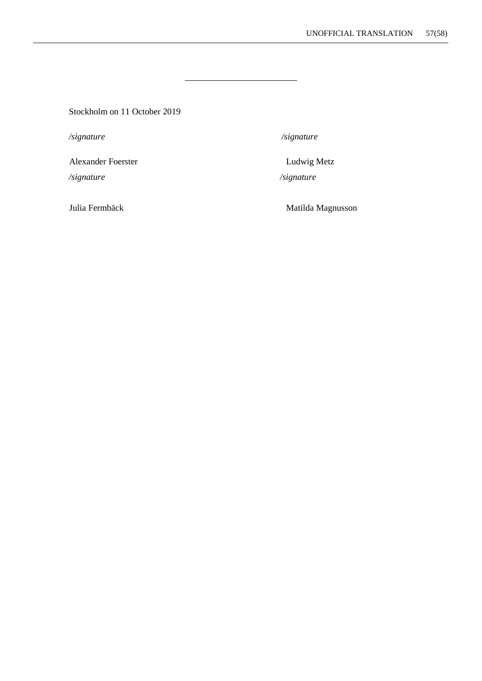Stockholm on 11 October 2019

*/signature /signature*

Alexander Foerster **Ludwig Metz** 

*/signature /signature*

231. Julia Fermbäck Matilda Magnusson